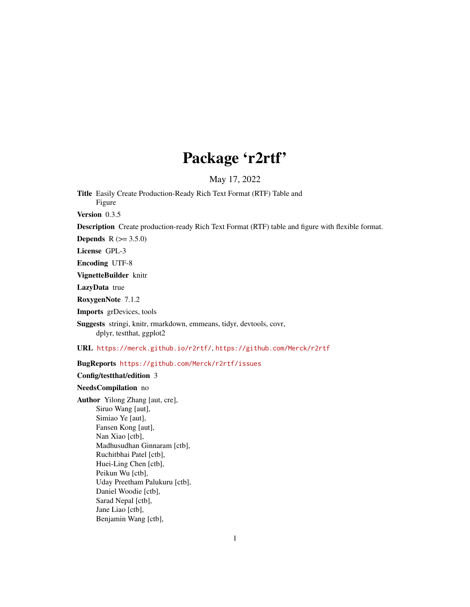# Package 'r2rtf'

May 17, 2022

Title Easily Create Production-Ready Rich Text Format (RTF) Table and Figure

Version 0.3.5

Description Create production-ready Rich Text Format (RTF) table and figure with flexible format.

**Depends** R  $(>= 3.5.0)$ 

License GPL-3

Encoding UTF-8

VignetteBuilder knitr

LazyData true

RoxygenNote 7.1.2

Imports grDevices, tools

Suggests stringi, knitr, rmarkdown, emmeans, tidyr, devtools, covr, dplyr, testthat, ggplot2

URL <https://merck.github.io/r2rtf/>, <https://github.com/Merck/r2rtf>

BugReports <https://github.com/Merck/r2rtf/issues>

Config/testthat/edition 3

#### NeedsCompilation no

Author Yilong Zhang [aut, cre], Siruo Wang [aut], Simiao Ye [aut], Fansen Kong [aut], Nan Xiao [ctb], Madhusudhan Ginnaram [ctb], Ruchitbhai Patel [ctb], Huei-Ling Chen [ctb], Peikun Wu [ctb], Uday Preetham Palukuru [ctb], Daniel Woodie [ctb], Sarad Nepal [ctb], Jane Liao [ctb], Benjamin Wang [ctb],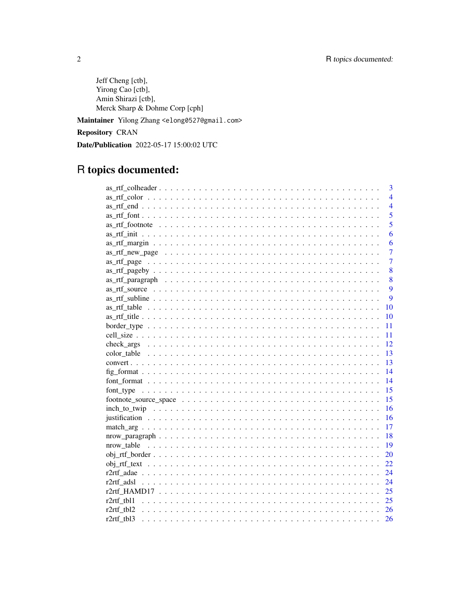Jeff Cheng [ctb], Yirong Cao [ctb], Amin Shirazi [ctb], Merck Sharp & Dohme Corp [cph] Maintainer Yilong Zhang <elong0527@gmail.com>

Repository CRAN

Date/Publication 2022-05-17 15:00:02 UTC

# R topics documented:

|                    | 3              |
|--------------------|----------------|
|                    | $\overline{4}$ |
|                    | $\overline{4}$ |
|                    | 5              |
|                    | $\overline{5}$ |
|                    | 6              |
|                    | 6              |
|                    | 7              |
|                    | $\overline{7}$ |
|                    | 8              |
|                    | 8              |
|                    | 9              |
|                    | 9              |
| 10                 |                |
| 10                 |                |
| 11                 |                |
| 11                 |                |
| 12                 |                |
| 13                 |                |
| 13                 |                |
| 14                 |                |
| 14                 |                |
| 15                 |                |
| 15                 |                |
| 16                 |                |
| 16                 |                |
| 17                 |                |
| 18                 |                |
| 19                 |                |
| 20                 |                |
| 22                 |                |
| 24                 |                |
| 24                 |                |
| 25                 |                |
| r2rtf tbl1<br>25   |                |
| r2rtf tbl2<br>26   |                |
| $r2rtf$ tbl3<br>26 |                |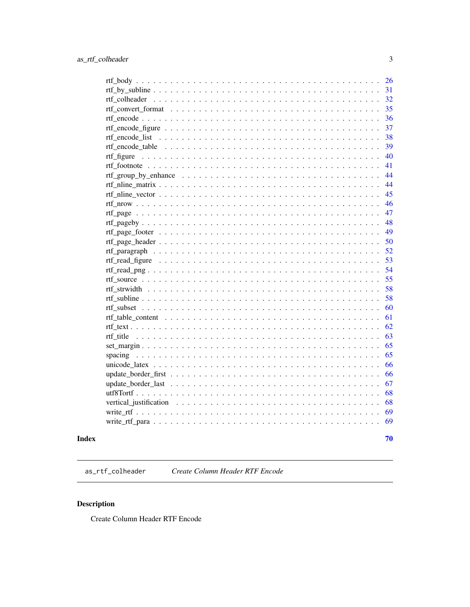<span id="page-2-0"></span>

| 26                                              |
|-------------------------------------------------|
| 31                                              |
| 32                                              |
| 35                                              |
| 36                                              |
| 37                                              |
| 38<br>rtf_encode_list                           |
| 39                                              |
| 40<br>$\frac{1}{2}$                             |
| 41                                              |
| 44                                              |
| 44                                              |
| 45                                              |
| 46                                              |
| 47                                              |
| 48                                              |
| 49                                              |
| 50                                              |
| 52                                              |
| 53                                              |
| 54                                              |
| 55                                              |
| 58                                              |
| 58                                              |
| 60                                              |
| 61                                              |
| 62                                              |
| 63<br>rtf title                                 |
| 65                                              |
| 65<br>spacing                                   |
| 66                                              |
| 66                                              |
| 67                                              |
| 68                                              |
| 68                                              |
| 69                                              |
| 69<br>$\sim$<br>1.1.1.1<br>$\sim$ $\sim$ $\sim$ |
|                                                 |
| 70                                              |

## **Index**

as\_rtf\_colheader Create Column Header RTF Encode

## Description

Create Column Header RTF Encode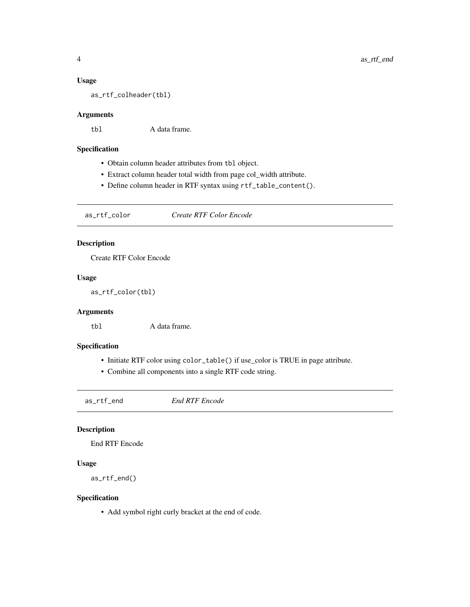#### <span id="page-3-0"></span>Usage

as\_rtf\_colheader(tbl)

### Arguments

tbl A data frame.

### Specification

- Obtain column header attributes from tbl object.
- Extract column header total width from page col\_width attribute.
- Define column header in RTF syntax using rtf\_table\_content().

as\_rtf\_color *Create RTF Color Encode*

### Description

Create RTF Color Encode

### Usage

as\_rtf\_color(tbl)

### Arguments

tbl A data frame.

### Specification

- Initiate RTF color using color\_table() if use\_color is TRUE in page attribute.
- Combine all components into a single RTF code string.

as\_rtf\_end *End RTF Encode*

### Description

End RTF Encode

#### Usage

as\_rtf\_end()

### Specification

• Add symbol right curly bracket at the end of code.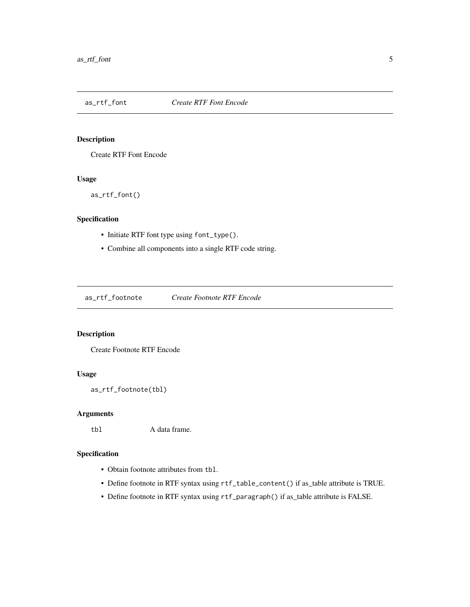<span id="page-4-0"></span>

Create RTF Font Encode

### Usage

as\_rtf\_font()

### Specification

- Initiate RTF font type using font\_type().
- Combine all components into a single RTF code string.

as\_rtf\_footnote *Create Footnote RTF Encode*

### Description

Create Footnote RTF Encode

### Usage

```
as_rtf_footnote(tbl)
```
### Arguments

tbl A data frame.

- Obtain footnote attributes from tbl.
- Define footnote in RTF syntax using rtf\_table\_content() if as\_table attribute is TRUE.
- Define footnote in RTF syntax using rtf\_paragraph() if as\_table attribute is FALSE.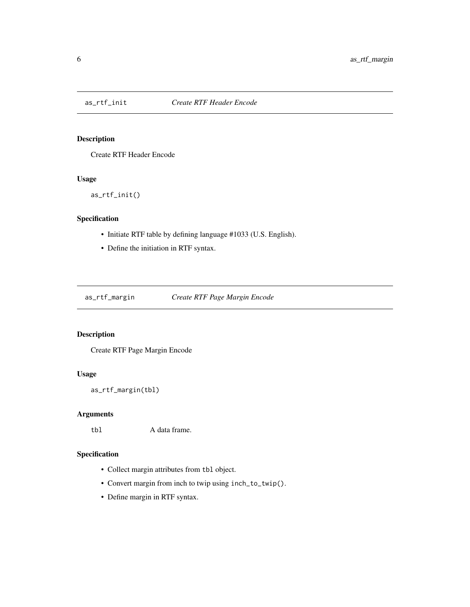<span id="page-5-0"></span>

Create RTF Header Encode

### Usage

as\_rtf\_init()

### Specification

- Initiate RTF table by defining language #1033 (U.S. English).
- Define the initiation in RTF syntax.

as\_rtf\_margin *Create RTF Page Margin Encode*

### Description

Create RTF Page Margin Encode

#### Usage

as\_rtf\_margin(tbl)

### Arguments

tbl A data frame.

- Collect margin attributes from tbl object.
- Convert margin from inch to twip using inch\_to\_twip().
- Define margin in RTF syntax.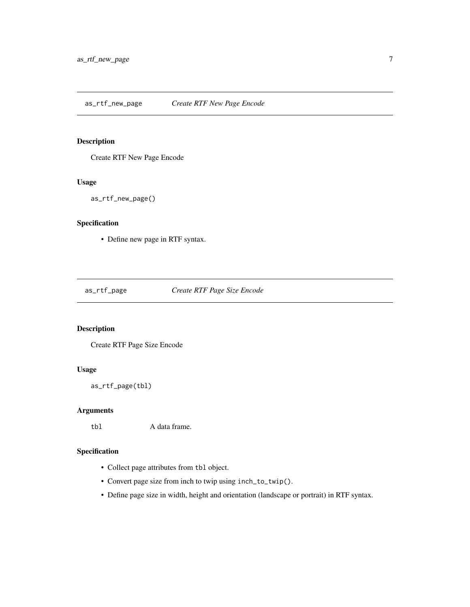<span id="page-6-0"></span>Create RTF New Page Encode

### Usage

as\_rtf\_new\_page()

### Specification

• Define new page in RTF syntax.

as\_rtf\_page *Create RTF Page Size Encode*

### Description

Create RTF Page Size Encode

### Usage

as\_rtf\_page(tbl)

### Arguments

tbl A data frame.

- Collect page attributes from tbl object.
- Convert page size from inch to twip using inch\_to\_twip().
- Define page size in width, height and orientation (landscape or portrait) in RTF syntax.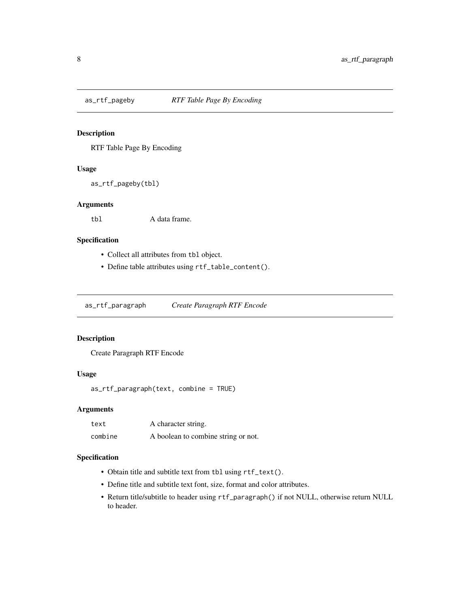<span id="page-7-0"></span>

RTF Table Page By Encoding

### Usage

as\_rtf\_pageby(tbl)

#### Arguments

tbl A data frame.

### Specification

- Collect all attributes from tbl object.
- Define table attributes using rtf\_table\_content().

as\_rtf\_paragraph *Create Paragraph RTF Encode*

### Description

Create Paragraph RTF Encode

#### Usage

```
as_rtf_paragraph(text, combine = TRUE)
```
### Arguments

| text    | A character string.                 |
|---------|-------------------------------------|
| combine | A boolean to combine string or not. |

- Obtain title and subtitle text from tbl using rtf\_text().
- Define title and subtitle text font, size, format and color attributes.
- Return title/subtitle to header using rtf\_paragraph() if not NULL, otherwise return NULL to header.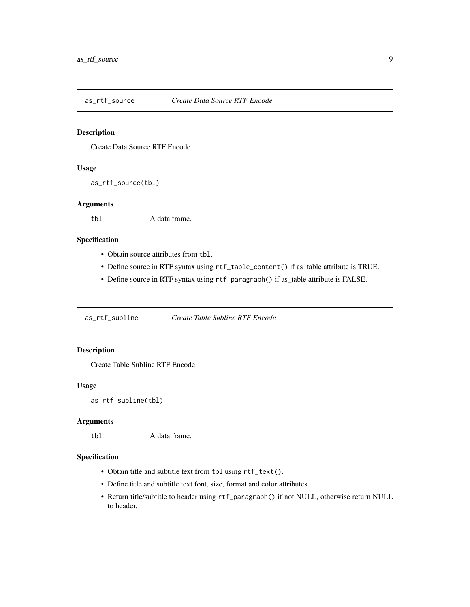<span id="page-8-0"></span>

Create Data Source RTF Encode

### Usage

as\_rtf\_source(tbl)

#### Arguments

tbl A data frame.

### Specification

- Obtain source attributes from tbl.
- Define source in RTF syntax using rtf\_table\_content() if as\_table attribute is TRUE.
- Define source in RTF syntax using rtf\_paragraph() if as\_table attribute is FALSE.

as\_rtf\_subline *Create Table Subline RTF Encode*

### Description

Create Table Subline RTF Encode

### Usage

as\_rtf\_subline(tbl)

### Arguments

tbl A data frame.

- Obtain title and subtitle text from tbl using rtf\_text().
- Define title and subtitle text font, size, format and color attributes.
- Return title/subtitle to header using rtf\_paragraph() if not NULL, otherwise return NULL to header.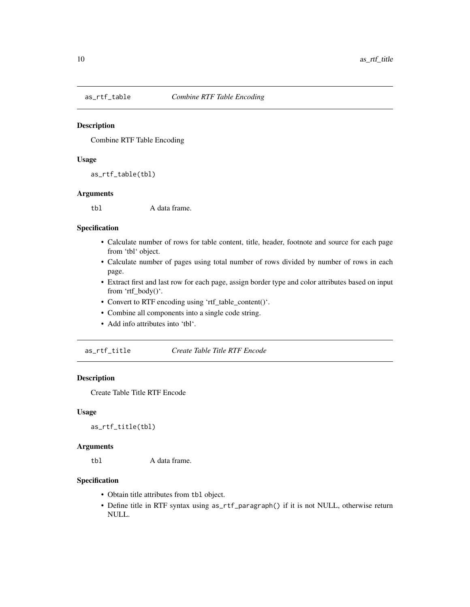<span id="page-9-0"></span>

Combine RTF Table Encoding

#### Usage

as\_rtf\_table(tbl)

### Arguments

tbl A data frame.

### Specification

- Calculate number of rows for table content, title, header, footnote and source for each page from 'tbl' object.
- Calculate number of pages using total number of rows divided by number of rows in each page.
- Extract first and last row for each page, assign border type and color attributes based on input from 'rtf\_body()'.
- Convert to RTF encoding using 'rtf\_table\_content()'.
- Combine all components into a single code string.
- Add info attributes into 'tbl'.

as\_rtf\_title *Create Table Title RTF Encode*

#### Description

Create Table Title RTF Encode

### Usage

as\_rtf\_title(tbl)

### Arguments

tbl A data frame.

- Obtain title attributes from tbl object.
- Define title in RTF syntax using as\_rtf\_paragraph() if it is not NULL, otherwise return NULL.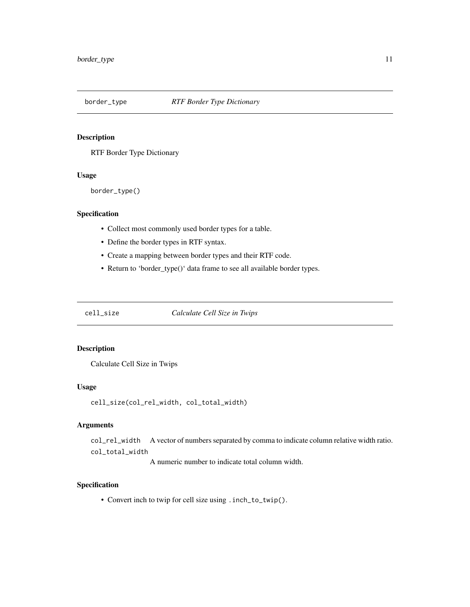<span id="page-10-0"></span>

RTF Border Type Dictionary

#### Usage

border\_type()

### Specification

- Collect most commonly used border types for a table.
- Define the border types in RTF syntax.
- Create a mapping between border types and their RTF code.
- Return to 'border\_type()' data frame to see all available border types.

cell\_size *Calculate Cell Size in Twips*

### Description

Calculate Cell Size in Twips

### Usage

```
cell_size(col_rel_width, col_total_width)
```
### Arguments

col\_rel\_width A vector of numbers separated by comma to indicate column relative width ratio. col\_total\_width

A numeric number to indicate total column width.

### Specification

• Convert inch to twip for cell size using .inch\_to\_twip().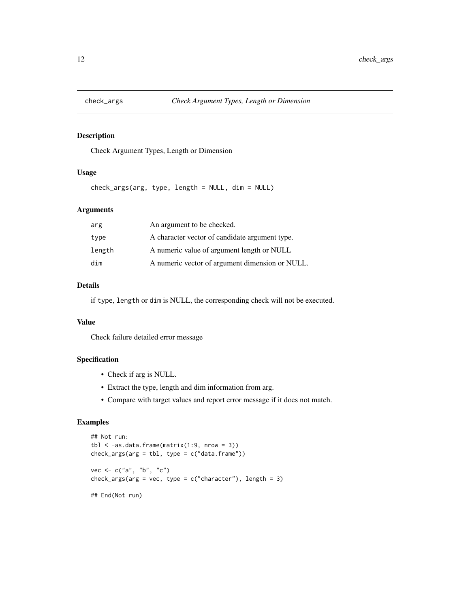<span id="page-11-0"></span>

Check Argument Types, Length or Dimension

### Usage

check\_args(arg, type, length = NULL, dim = NULL)

#### Arguments

| arg    | An argument to be checked.                      |
|--------|-------------------------------------------------|
| type   | A character vector of candidate argument type.  |
| length | A numeric value of argument length or NULL      |
| dim    | A numeric vector of argument dimension or NULL. |

#### Details

if type, length or dim is NULL, the corresponding check will not be executed.

### Value

Check failure detailed error message

#### Specification

- Check if arg is NULL.
- Extract the type, length and dim information from arg.
- Compare with target values and report error message if it does not match.

### Examples

```
## Not run:
tbl < -as.data frame(matrix(1:9, nrow = 3))check_{args(arg = thl, type = c("data-frame"))vec <- c("a", "b", "c")
check_args(arg = vec, type = c("character"), length = 3)
## End(Not run)
```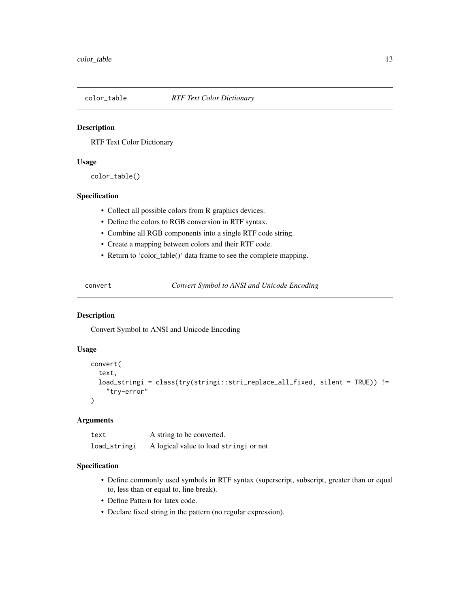<span id="page-12-0"></span>

RTF Text Color Dictionary

#### Usage

color\_table()

#### Specification

- Collect all possible colors from R graphics devices.
- Define the colors to RGB conversion in RTF syntax.
- Combine all RGB components into a single RTF code string.
- Create a mapping between colors and their RTF code.
- Return to 'color\_table()' data frame to see the complete mapping.

convert *Convert Symbol to ANSI and Unicode Encoding*

### Description

Convert Symbol to ANSI and Unicode Encoding

### Usage

```
convert(
  text,
  load_stringi = class(try(stringi::stri_replace_all_fixed, silent = TRUE)) !=
    "try-error"
)
```
#### Arguments

| text         | A string to be converted.             |
|--------------|---------------------------------------|
| load_stringi | A logical value to load string iornot |

- Define commonly used symbols in RTF syntax (superscript, subscript, greater than or equal to, less than or equal to, line break).
- Define Pattern for latex code.
- Declare fixed string in the pattern (no regular expression).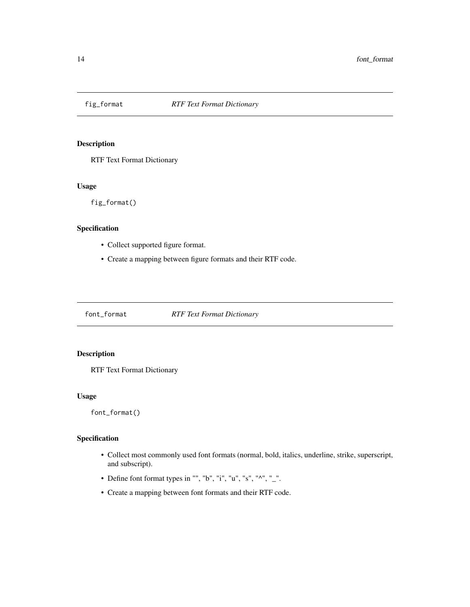<span id="page-13-0"></span>

RTF Text Format Dictionary

### Usage

fig\_format()

#### Specification

- Collect supported figure format.
- Create a mapping between figure formats and their RTF code.

font\_format *RTF Text Format Dictionary*

### Description

RTF Text Format Dictionary

### Usage

font\_format()

- Collect most commonly used font formats (normal, bold, italics, underline, strike, superscript, and subscript).
- Define font format types in "", "b", "i", "u", "s", " $^{\wedge}$ ", " $^{\wedge}$ ".
- Create a mapping between font formats and their RTF code.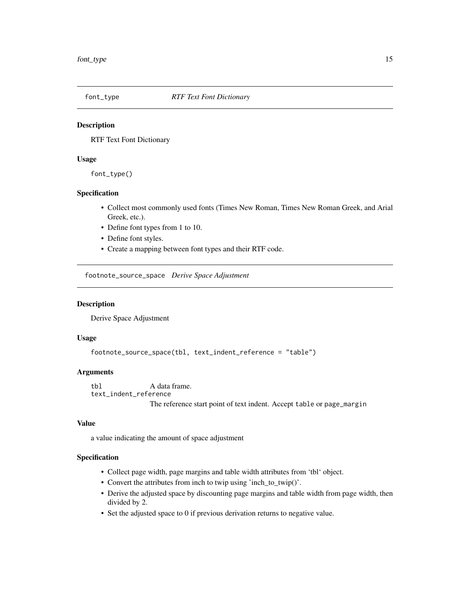<span id="page-14-0"></span>

RTF Text Font Dictionary

#### Usage

font\_type()

### Specification

- Collect most commonly used fonts (Times New Roman, Times New Roman Greek, and Arial Greek, etc.).
- Define font types from 1 to 10.
- Define font styles.
- Create a mapping between font types and their RTF code.

footnote\_source\_space *Derive Space Adjustment*

### Description

Derive Space Adjustment

#### Usage

```
footnote_source_space(tbl, text_indent_reference = "table")
```
#### Arguments

tbl A data frame. text\_indent\_reference The reference start point of text indent. Accept table or page\_margin

### Value

a value indicating the amount of space adjustment

- Collect page width, page margins and table width attributes from 'tbl' object.
- Convert the attributes from inch to twip using 'inch\_to\_twip()'.
- Derive the adjusted space by discounting page margins and table width from page width, then divided by 2.
- Set the adjusted space to 0 if previous derivation returns to negative value.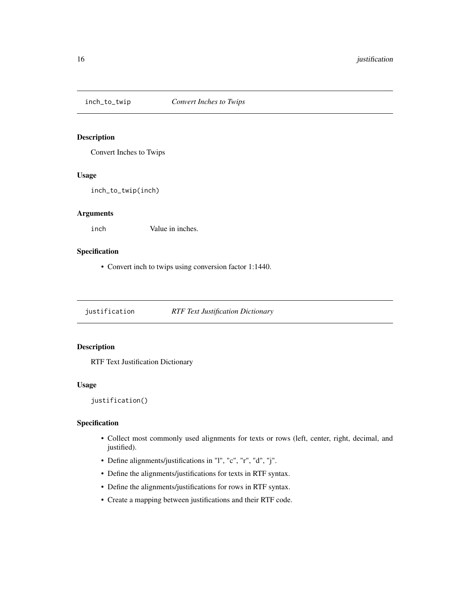<span id="page-15-0"></span>

Convert Inches to Twips

#### Usage

inch\_to\_twip(inch)

### Arguments

inch Value in inches.

### Specification

• Convert inch to twips using conversion factor 1:1440.

justification *RTF Text Justification Dictionary*

### Description

RTF Text Justification Dictionary

#### Usage

justification()

- Collect most commonly used alignments for texts or rows (left, center, right, decimal, and justified).
- Define alignments/justifications in "l", "c", "r", "d", "j".
- Define the alignments/justifications for texts in RTF syntax.
- Define the alignments/justifications for rows in RTF syntax.
- Create a mapping between justifications and their RTF code.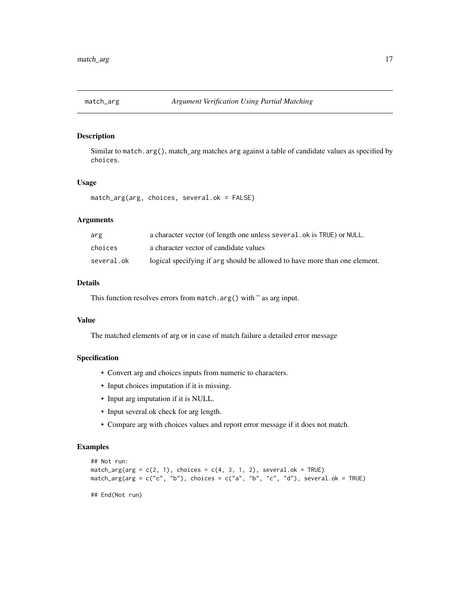<span id="page-16-0"></span>

Similar to match.arg(), match\_arg matches arg against a table of candidate values as specified by choices.

### Usage

match\_arg(arg, choices, several.ok = FALSE)

### Arguments

| arg        | a character vector (of length one unless several. ok is TRUE) or NULL.     |
|------------|----------------------------------------------------------------------------|
| choices    | a character vector of candidate values                                     |
| several.ok | logical specifying if arg should be allowed to have more than one element. |

### Details

This function resolves errors from match.arg() with " as arg input.

### Value

The matched elements of arg or in case of match failure a detailed error message

### Specification

- Convert arg and choices inputs from numeric to characters.
- Input choices imputation if it is missing.
- Input arg imputation if it is NULL.
- Input several.ok check for arg length.
- Compare arg with choices values and report error message if it does not match.

### Examples

```
## Not run:
match_arg(arg = c(2, 1), choices = c(4, 3, 1, 2), several.ok = TRUE)
match_{\text{arg}}(arg = c("c", "b"), choices = c("a", "b", "c", "d"), several.ok = TRUE)
```
## End(Not run)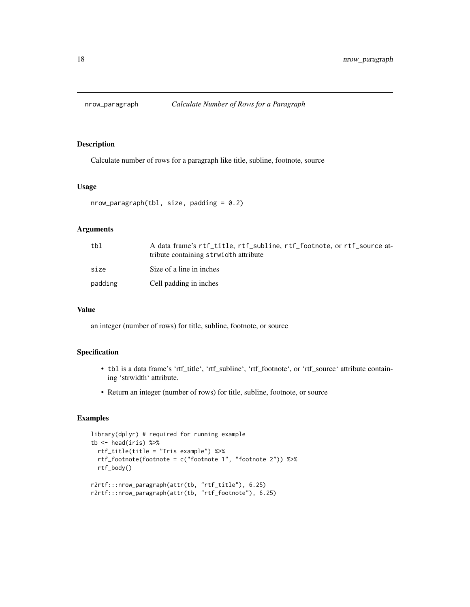<span id="page-17-0"></span>

Calculate number of rows for a paragraph like title, subline, footnote, source

### Usage

```
nrow\_param(tbl, size, padding = 0.2)
```
### Arguments

| tbl     | A data frame's rtf_title, rtf_subline, rtf_footnote, or rtf_source at-<br>tribute containing strwidth attribute |
|---------|-----------------------------------------------------------------------------------------------------------------|
| size    | Size of a line in inches                                                                                        |
| padding | Cell padding in inches                                                                                          |

#### Value

an integer (number of rows) for title, subline, footnote, or source

#### Specification

- tbl is a data frame's 'rtf\_title', 'rtf\_subline', 'rtf\_footnote', or 'rtf\_source' attribute containing 'strwidth' attribute.
- Return an integer (number of rows) for title, subline, footnote, or source

#### Examples

```
library(dplyr) # required for running example
tb \leq head(iris) %>%
 rtf_title(title = "Iris example") %>%
 rtf_footnote(footnote = c("footnote 1", "footnote 2")) %>%
 rtf_body()
r2rtf:::nrow_paragraph(attr(tb, "rtf_title"), 6.25)
r2rtf:::nrow_paragraph(attr(tb, "rtf_footnote"), 6.25)
```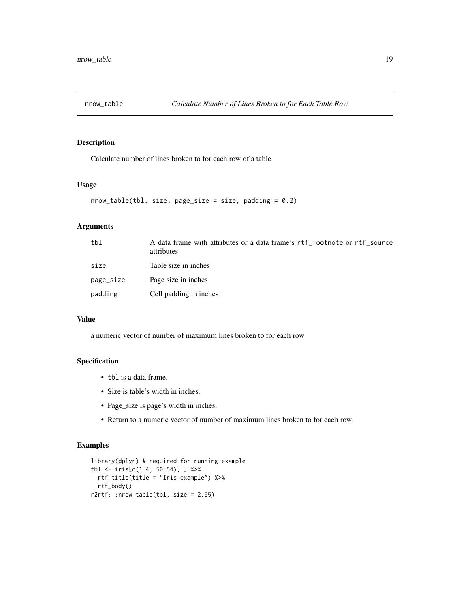<span id="page-18-0"></span>

Calculate number of lines broken to for each row of a table

#### Usage

```
nrow\_table(tbl, size, page\_size = size, padding = 0.2)
```
#### Arguments

| tbl       | A data frame with attributes or a data frame's rtf footnote or rtf source<br>attributes |
|-----------|-----------------------------------------------------------------------------------------|
| size      | Table size in inches                                                                    |
| page_size | Page size in inches                                                                     |
| padding   | Cell padding in inches                                                                  |

### Value

a numeric vector of number of maximum lines broken to for each row

### Specification

- tbl is a data frame.
- Size is table's width in inches.
- Page\_size is page's width in inches.
- Return to a numeric vector of number of maximum lines broken to for each row.

### Examples

```
library(dplyr) # required for running example
tbl \le iris[c(1:4, 50:54), ] %>%
  rtf_title(title = "Iris example") %>%
  rtf_body()
r2rtf:::nrow_table(tbl, size = 2.55)
```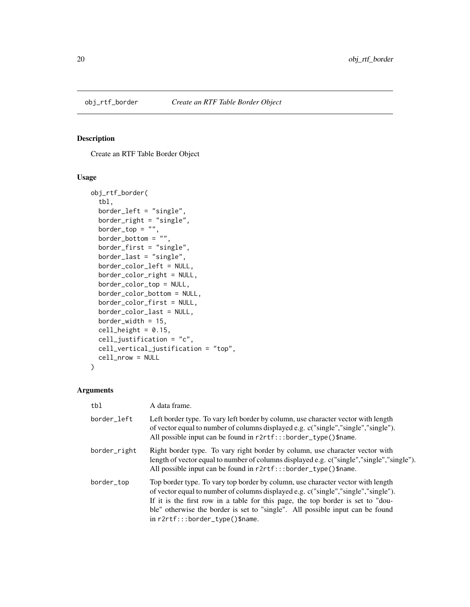<span id="page-19-0"></span>

Create an RTF Table Border Object

### Usage

```
obj_rtf_border(
  tbl,
  border_left = "single",
 border_right = "single",
  border\_top = "",border\_bottom = " " "border_first = "single",
  border_last = "single",
  border_color_left = NULL,
  border_color_right = NULL,
  border_color_top = NULL,
  border_color_bottom = NULL,
  border_color_first = NULL,
  border_color_last = NULL,
 border_width = 15,
  cell\_height = 0.15,
  cell_justification = "c",
  cell_vertical_justification = "top",
  cell_nrow = NULL
\mathcal{L}
```

| tbl          | A data frame.                                                                                                                                                                                                                                                                                                                                                                |
|--------------|------------------------------------------------------------------------------------------------------------------------------------------------------------------------------------------------------------------------------------------------------------------------------------------------------------------------------------------------------------------------------|
| border_left  | Left border type. To vary left border by column, use character vector with length<br>of vector equal to number of columns displayed e.g. c("single","single","single").<br>All possible input can be found in r2rtf:::border_type()\$name.                                                                                                                                   |
| border_right | Right border type. To vary right border by column, use character vector with<br>length of vector equal to number of columns displayed e.g. c("single","single","single").<br>All possible input can be found in r2rtf:::border_type()\$name.                                                                                                                                 |
| border_top   | Top border type. To vary top border by column, use character vector with length<br>of vector equal to number of columns displayed e.g. c("single","single","single").<br>If it is the first row in a table for this page, the top border is set to "dou-<br>ble" otherwise the border is set to "single". All possible input can be found<br>in r2rtf:::border_type()\$name. |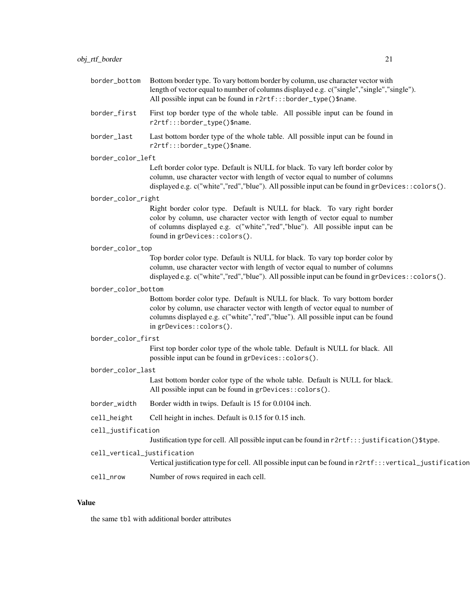| border_bottom               | Bottom border type. To vary bottom border by column, use character vector with<br>length of vector equal to number of columns displayed e.g. c("single","single","single").<br>All possible input can be found in r2rtf:::border_type()\$name.                             |  |
|-----------------------------|----------------------------------------------------------------------------------------------------------------------------------------------------------------------------------------------------------------------------------------------------------------------------|--|
| border_first                | First top border type of the whole table. All possible input can be found in<br>r2rtf:::border_type()\$name.                                                                                                                                                               |  |
| border_last                 | Last bottom border type of the whole table. All possible input can be found in<br>r2rtf:::border_type()\$name.                                                                                                                                                             |  |
| border_color_left           |                                                                                                                                                                                                                                                                            |  |
|                             | Left border color type. Default is NULL for black. To vary left border color by<br>column, use character vector with length of vector equal to number of columns<br>displayed e.g. c("white","red","blue"). All possible input can be found in grDevices::colors().        |  |
| border_color_right          |                                                                                                                                                                                                                                                                            |  |
|                             | Right border color type. Default is NULL for black. To vary right border<br>color by column, use character vector with length of vector equal to number<br>of columns displayed e.g. c("white","red","blue"). All possible input can be<br>found in grDevices::colors().   |  |
| border_color_top            |                                                                                                                                                                                                                                                                            |  |
|                             | Top border color type. Default is NULL for black. To vary top border color by<br>column, use character vector with length of vector equal to number of columns<br>displayed e.g. c("white","red","blue"). All possible input can be found in grDevices::colors().          |  |
| border_color_bottom         |                                                                                                                                                                                                                                                                            |  |
|                             | Bottom border color type. Default is NULL for black. To vary bottom border<br>color by column, use character vector with length of vector equal to number of<br>columns displayed e.g. c("white","red","blue"). All possible input can be found<br>in grDevices::colors(). |  |
| border_color_first          |                                                                                                                                                                                                                                                                            |  |
|                             | First top border color type of the whole table. Default is NULL for black. All<br>possible input can be found in grDevices::colors().                                                                                                                                      |  |
| border_color_last           |                                                                                                                                                                                                                                                                            |  |
|                             | Last bottom border color type of the whole table. Default is NULL for black.<br>All possible input can be found in grDevices:: colors().                                                                                                                                   |  |
| border_width                | Border width in twips. Default is 15 for 0.0104 inch.                                                                                                                                                                                                                      |  |
| cell_height                 | Cell height in inches. Default is 0.15 for 0.15 inch.                                                                                                                                                                                                                      |  |
| cell_justification          |                                                                                                                                                                                                                                                                            |  |
|                             | Justification type for cell. All possible input can be found in r2rtf::: justification()\$type.                                                                                                                                                                            |  |
| cell_vertical_justification |                                                                                                                                                                                                                                                                            |  |

Vertical justification type for cell. All possible input can be found in  $r2rtf::|vertcal_j$ ustification

cell\_nrow Number of rows required in each cell.

### Value

the same tbl with additional border attributes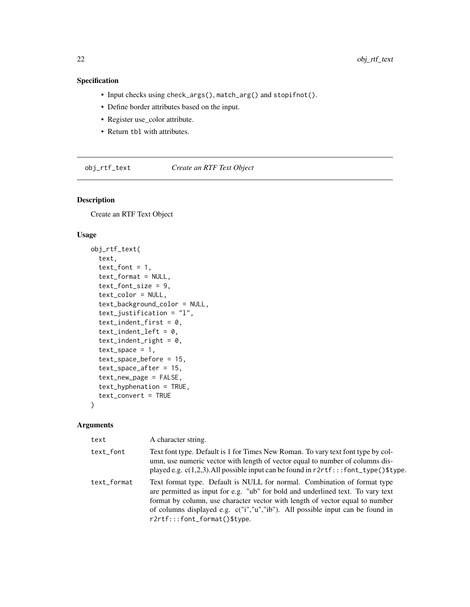### <span id="page-21-0"></span>Specification

- Input checks using check\_args(), match\_arg() and stopifnot().
- Define border attributes based on the input.
- Register use\_color attribute.
- Return tbl with attributes.

obj\_rtf\_text *Create an RTF Text Object*

### Description

Create an RTF Text Object

#### Usage

```
obj_rtf_text(
  text,
  text_font = 1,
  text_format = NULL,
  text_font_size = 9,
  text_color = NULL,
  text_background_color = NULL,
  text_justification = "l",
  text_indent_first = 0,
  text\_indent\_left = 0,
  text\_indent\_right = 0,
  text\_space = 1,
  text_space_before = 15,
  text_space_after = 15,
  text_new_page = FALSE,
  text_hyphenation = TRUE,
  text_convert = TRUE
\mathcal{L}
```

| text        | A character string.                                                                                                                                                                                                                                                                                                                                          |
|-------------|--------------------------------------------------------------------------------------------------------------------------------------------------------------------------------------------------------------------------------------------------------------------------------------------------------------------------------------------------------------|
| text_font   | Text font type. Default is 1 for Times New Roman. To vary text font type by col-<br>umn, use numeric vector with length of vector equal to number of columns dis-<br>played e.g. $c(1,2,3)$ . All possible input can be found in $r2rtf$ :::font_type()\$type.                                                                                               |
| text_format | Text format type. Default is NULL for normal. Combination of format type<br>are permitted as input for e.g. "ub" for bold and underlined text. To vary text<br>format by column, use character vector with length of vector equal to number<br>of columns displayed e.g. c("i","u","ib"). All possible input can be found in<br>r2rtf:::font_format()\$type. |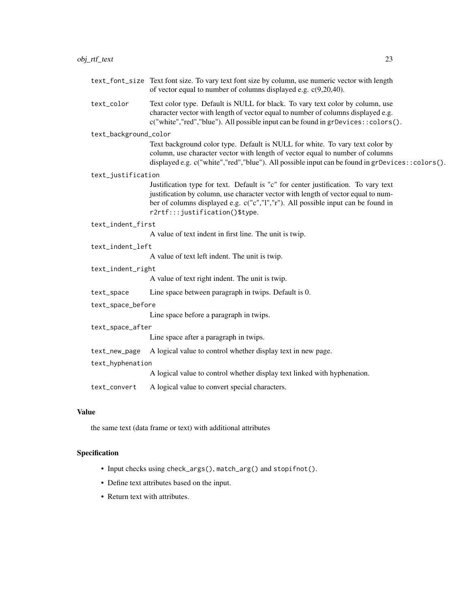| text_font_size Text font size. To vary text font size by column, use numeric vector with length |
|-------------------------------------------------------------------------------------------------|
| of vector equal to number of columns displayed e.g. $c(9,20,40)$ .                              |

text\_color Text color type. Default is NULL for black. To vary text color by column, use character vector with length of vector equal to number of columns displayed e.g. c("white","red","blue"). All possible input can be found in grDevices::colors().

#### text\_background\_color

Text background color type. Default is NULL for white. To vary text color by column, use character vector with length of vector equal to number of columns displayed e.g. c("white","red","blue"). All possible input can be found in grDevices::colors().

#### text\_justification

Justification type for text. Default is "c" for center justification. To vary text justification by column, use character vector with length of vector equal to number of columns displayed e.g. c("c","l","r"). All possible input can be found in r2rtf:::justification()\$type.

#### text\_indent\_first

A value of text indent in first line. The unit is twip.

#### text\_indent\_left

A value of text left indent. The unit is twip.

#### text\_indent\_right

A value of text right indent. The unit is twip.

text\_space Line space between paragraph in twips. Default is 0.

#### text\_space\_before

Line space before a paragraph in twips.

#### text\_space\_after

Line space after a paragraph in twips.

text\_new\_page A logical value to control whether display text in new page.

#### text\_hyphenation

A logical value to control whether display text linked with hyphenation.

text\_convert A logical value to convert special characters.

#### Value

the same text (data frame or text) with additional attributes

- Input checks using check\_args(), match\_arg() and stopifnot().
- Define text attributes based on the input.
- Return text with attributes.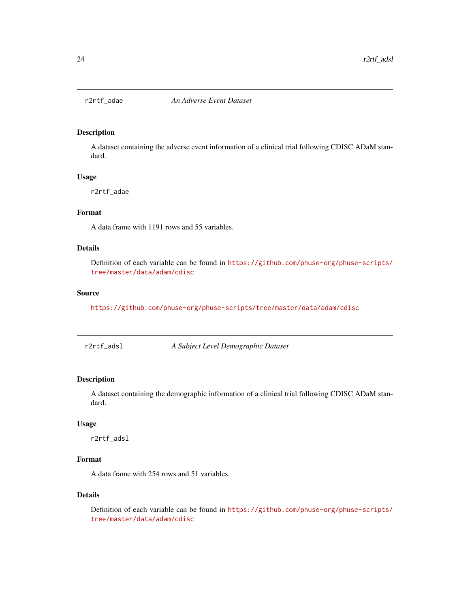<span id="page-23-0"></span>

A dataset containing the adverse event information of a clinical trial following CDISC ADaM standard.

### Usage

r2rtf\_adae

### Format

A data frame with 1191 rows and 55 variables.

### Details

Definition of each variable can be found in [https://github.com/phuse-org/phuse-scripts/](https://github.com/phuse-org/phuse-scripts/tree/master/data/adam/cdisc) [tree/master/data/adam/cdisc](https://github.com/phuse-org/phuse-scripts/tree/master/data/adam/cdisc)

#### Source

<https://github.com/phuse-org/phuse-scripts/tree/master/data/adam/cdisc>

r2rtf\_adsl *A Subject Level Demographic Dataset*

### Description

A dataset containing the demographic information of a clinical trial following CDISC ADaM standard.

#### Usage

r2rtf\_adsl

### Format

A data frame with 254 rows and 51 variables.

#### Details

Definition of each variable can be found in [https://github.com/phuse-org/phuse-scripts/](https://github.com/phuse-org/phuse-scripts/tree/master/data/adam/cdisc) [tree/master/data/adam/cdisc](https://github.com/phuse-org/phuse-scripts/tree/master/data/adam/cdisc)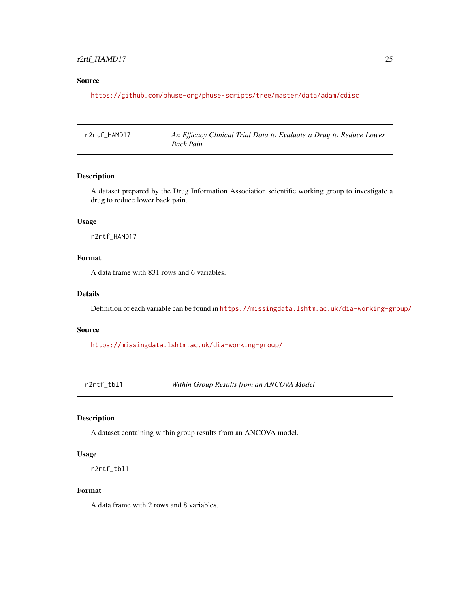### <span id="page-24-0"></span>r2rtf\_HAMD17 25

### Source

<https://github.com/phuse-org/phuse-scripts/tree/master/data/adam/cdisc>

r2rtf\_HAMD17 *An Efficacy Clinical Trial Data to Evaluate a Drug to Reduce Lower Back Pain*

### Description

A dataset prepared by the Drug Information Association scientific working group to investigate a drug to reduce lower back pain.

#### Usage

r2rtf\_HAMD17

### Format

A data frame with 831 rows and 6 variables.

#### Details

Definition of each variable can be found in <https://missingdata.lshtm.ac.uk/dia-working-group/>

#### Source

<https://missingdata.lshtm.ac.uk/dia-working-group/>

r2rtf\_tbl1 *Within Group Results from an ANCOVA Model*

#### Description

A dataset containing within group results from an ANCOVA model.

#### Usage

r2rtf\_tbl1

### Format

A data frame with 2 rows and 8 variables.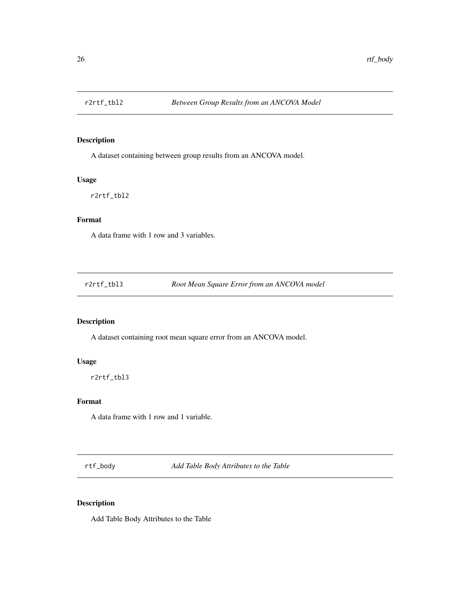<span id="page-25-0"></span>

A dataset containing between group results from an ANCOVA model.

#### Usage

r2rtf\_tbl2

### Format

A data frame with 1 row and 3 variables.

r2rtf\_tbl3 *Root Mean Square Error from an ANCOVA model*

### Description

A dataset containing root mean square error from an ANCOVA model.

### Usage

r2rtf\_tbl3

### Format

A data frame with 1 row and 1 variable.

rtf\_body *Add Table Body Attributes to the Table*

### Description

Add Table Body Attributes to the Table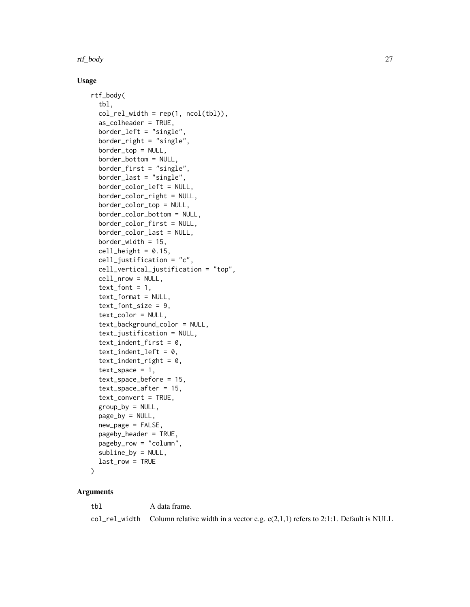#### rtf\_body 27

#### Usage

```
rtf_body(
  tbl,
  col_{rel\_width} = rep(1, ncol(tbl)),
  as_colheader = TRUE,
  border_left = "single",
  border_right = "single",
  border_top = NULL,
  border_bottom = NULL,
  border_first = "single",
  border_last = "single",
  border_color_left = NULL,
  border_color_right = NULL,
  border_color_top = NULL,
  border_color_bottom = NULL,
  border_color_first = NULL,
  border_color_last = NULL,
  border_width = 15,
  cell\_height = 0.15,
  cell_justification = "c",
  cell_vertical_justification = "top",
  cell_nrow = NULL,
  text_font = 1,
  text_format = NULL,
  text_font_size = 9,
  text_color = NULL,
  text_background_color = NULL,
  text_justification = NULL,
  text\_indent\_first = 0,
  text\_indent\_left = 0,
  text\_indent\_right = 0,
  text\_space = 1,
  text_space_before = 15,
  text_space_after = 15,
  text_convert = TRUE,
  group_by = NULL,
  page_by = NULL,
  new_page = FALSE,
  pageby_header = TRUE,
 pageby_row = "column",
  subline_by = NULL,
  last_row = TRUE
```

```
)
```
### Arguments

tbl A data frame. col\_rel\_width Column relative width in a vector e.g.  $c(2,1,1)$  refers to 2:1:1. Default is NULL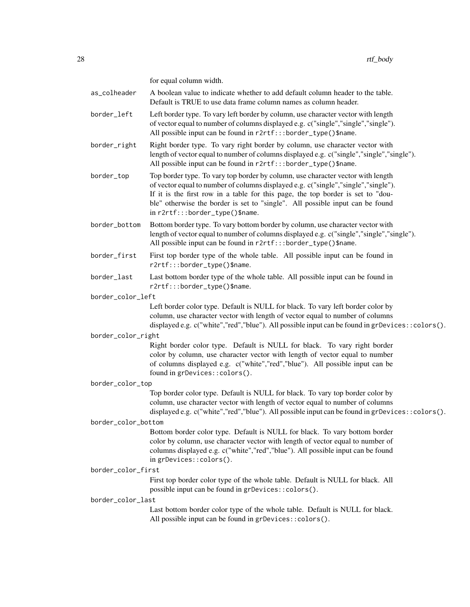for equal column width.

as\_colheader A boolean value to indicate whether to add default column header to the table. Default is TRUE to use data frame column names as column header.

- border\_left Left border type. To vary left border by column, use character vector with length of vector equal to number of columns displayed e.g. c("single","single","single"). All possible input can be found in r2rtf:::border\_type()\$name.
- border\_right Right border type. To vary right border by column, use character vector with length of vector equal to number of columns displayed e.g. c("single","single","single"). All possible input can be found in r2rtf:::border\_type()\$name.
- border\_top Top border type. To vary top border by column, use character vector with length of vector equal to number of columns displayed e.g. c("single","single","single"). If it is the first row in a table for this page, the top border is set to "double" otherwise the border is set to "single". All possible input can be found in r2rtf:::border\_type()\$name.
- border\_bottom Bottom border type. To vary bottom border by column, use character vector with length of vector equal to number of columns displayed e.g. c("single","single","single"). All possible input can be found in r2rtf:::border\_type()\$name.
- border\_first First top border type of the whole table. All possible input can be found in r2rtf:::border\_type()\$name.
- border\_last Last bottom border type of the whole table. All possible input can be found in r2rtf:::border\_type()\$name.
- border\_color\_left

Left border color type. Default is NULL for black. To vary left border color by column, use character vector with length of vector equal to number of columns displayed e.g. c("white", "red", "blue"). All possible input can be found in grDevices::colors().

#### border\_color\_right

Right border color type. Default is NULL for black. To vary right border color by column, use character vector with length of vector equal to number of columns displayed e.g. c("white","red","blue"). All possible input can be found in grDevices::colors().

#### border\_color\_top

Top border color type. Default is NULL for black. To vary top border color by column, use character vector with length of vector equal to number of columns displayed e.g. c("white","red","blue"). All possible input can be found in grDevices::colors().

#### border\_color\_bottom

Bottom border color type. Default is NULL for black. To vary bottom border color by column, use character vector with length of vector equal to number of columns displayed e.g. c("white","red","blue"). All possible input can be found in grDevices::colors().

#### border\_color\_first

First top border color type of the whole table. Default is NULL for black. All possible input can be found in grDevices::colors().

#### border\_color\_last

Last bottom border color type of the whole table. Default is NULL for black. All possible input can be found in grDevices::colors().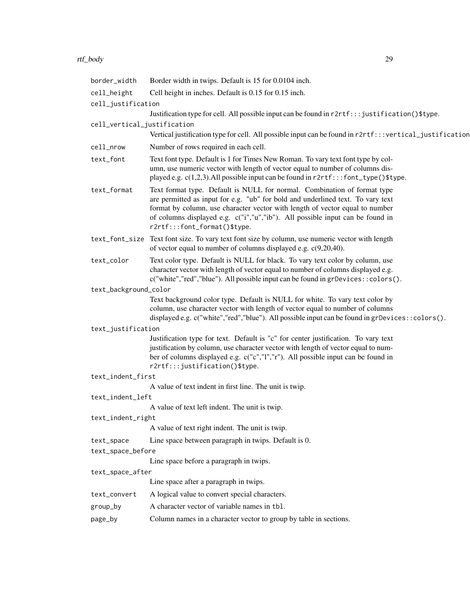### rtf\_body 29

| border_width                    | Border width in twips. Default is 15 for 0.0104 inch.                                                                                                                                                                                                                                                                                                        |
|---------------------------------|--------------------------------------------------------------------------------------------------------------------------------------------------------------------------------------------------------------------------------------------------------------------------------------------------------------------------------------------------------------|
| cell_height                     | Cell height in inches. Default is 0.15 for 0.15 inch.                                                                                                                                                                                                                                                                                                        |
| cell_justification              |                                                                                                                                                                                                                                                                                                                                                              |
|                                 | Justification type for cell. All possible input can be found in r2rtf:::justification()\$type.                                                                                                                                                                                                                                                               |
| cell_vertical_justification     |                                                                                                                                                                                                                                                                                                                                                              |
|                                 | Vertical justification type for cell. All possible input can be found in r2rtf:::vertical_justification                                                                                                                                                                                                                                                      |
| cell_nrow                       | Number of rows required in each cell.                                                                                                                                                                                                                                                                                                                        |
| text_font                       | Text font type. Default is 1 for Times New Roman. To vary text font type by col-<br>umn, use numeric vector with length of vector equal to number of columns dis-<br>played e.g. c(1,2,3). All possible input can be found in r2rtf:::font_type()\$type.                                                                                                     |
| text_format                     | Text format type. Default is NULL for normal. Combination of format type<br>are permitted as input for e.g. "ub" for bold and underlined text. To vary text<br>format by column, use character vector with length of vector equal to number<br>of columns displayed e.g. c("i","u","ib"). All possible input can be found in<br>r2rtf:::font_format()\$type. |
|                                 | text_font_size Text font size. To vary text font size by column, use numeric vector with length<br>of vector equal to number of columns displayed e.g. $c(9,20,40)$ .                                                                                                                                                                                        |
| text_color                      | Text color type. Default is NULL for black. To vary text color by column, use<br>character vector with length of vector equal to number of columns displayed e.g.<br>c("white","red","blue"). All possible input can be found in grDevices:: colors().                                                                                                       |
| text_background_color           |                                                                                                                                                                                                                                                                                                                                                              |
|                                 | Text background color type. Default is NULL for white. To vary text color by<br>column, use character vector with length of vector equal to number of columns<br>displayed e.g. c("white","red","blue"). All possible input can be found in grDevices::colors().                                                                                             |
| text_justification              |                                                                                                                                                                                                                                                                                                                                                              |
|                                 | Justification type for text. Default is "c" for center justification. To vary text<br>justification by column, use character vector with length of vector equal to num-<br>ber of columns displayed e.g. c("c","l","r"). All possible input can be found in<br>r2rtf:::justification()\$type.                                                                |
| text_indent_first               |                                                                                                                                                                                                                                                                                                                                                              |
|                                 | A value of text indent in first line. The unit is twip.                                                                                                                                                                                                                                                                                                      |
| text_indent_left                |                                                                                                                                                                                                                                                                                                                                                              |
|                                 | A value of text left indent. The unit is twip.                                                                                                                                                                                                                                                                                                               |
| text_indent_right               | A value of text right indent. The unit is twip.                                                                                                                                                                                                                                                                                                              |
|                                 | Line space between paragraph in twips. Default is 0.                                                                                                                                                                                                                                                                                                         |
| text_space<br>text_space_before |                                                                                                                                                                                                                                                                                                                                                              |
|                                 | Line space before a paragraph in twips.                                                                                                                                                                                                                                                                                                                      |
| text_space_after                |                                                                                                                                                                                                                                                                                                                                                              |
|                                 | Line space after a paragraph in twips.                                                                                                                                                                                                                                                                                                                       |
| text_convert                    | A logical value to convert special characters.                                                                                                                                                                                                                                                                                                               |
| group_by                        | A character vector of variable names in tb1.                                                                                                                                                                                                                                                                                                                 |
| page_by                         | Column names in a character vector to group by table in sections.                                                                                                                                                                                                                                                                                            |
|                                 |                                                                                                                                                                                                                                                                                                                                                              |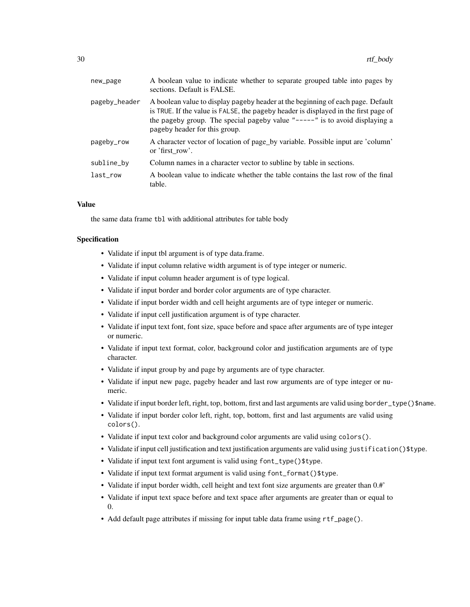| new_page      | A boolean value to indicate whether to separate grouped table into pages by<br>sections. Default is FALSE.                                                                                                                                                                               |
|---------------|------------------------------------------------------------------------------------------------------------------------------------------------------------------------------------------------------------------------------------------------------------------------------------------|
| pageby_header | A boolean value to display pageby header at the beginning of each page. Default<br>is TRUE. If the value is FALSE, the pageby header is displayed in the first page of<br>the pageby group. The special pageby value " $---$ " is to avoid displaying a<br>pageby header for this group. |
| pageby_row    | A character vector of location of page_by variable. Possible input are 'column'<br>or 'first row'.                                                                                                                                                                                       |
| subline_by    | Column names in a character vector to subline by table in sections.                                                                                                                                                                                                                      |
| last row      | A boolean value to indicate whether the table contains the last row of the final<br>table.                                                                                                                                                                                               |

#### Value

the same data frame tbl with additional attributes for table body

- Validate if input tbl argument is of type data.frame.
- Validate if input column relative width argument is of type integer or numeric.
- Validate if input column header argument is of type logical.
- Validate if input border and border color arguments are of type character.
- Validate if input border width and cell height arguments are of type integer or numeric.
- Validate if input cell justification argument is of type character.
- Validate if input text font, font size, space before and space after arguments are of type integer or numeric.
- Validate if input text format, color, background color and justification arguments are of type character.
- Validate if input group by and page by arguments are of type character.
- Validate if input new page, pageby header and last row arguments are of type integer or numeric.
- Validate if input border left, right, top, bottom, first and last arguments are valid using border\_type()\$name.
- Validate if input border color left, right, top, bottom, first and last arguments are valid using colors().
- Validate if input text color and background color arguments are valid using colors().
- Validate if input cell justification and text justification arguments are valid using justification()\$type.
- Validate if input text font argument is valid using font\_type()\$type.
- Validate if input text format argument is valid using font\_format()\$type.
- Validate if input border width, cell height and text font size arguments are greater than 0.#'
- Validate if input text space before and text space after arguments are greater than or equal to 0.
- Add default page attributes if missing for input table data frame using rtf\_page().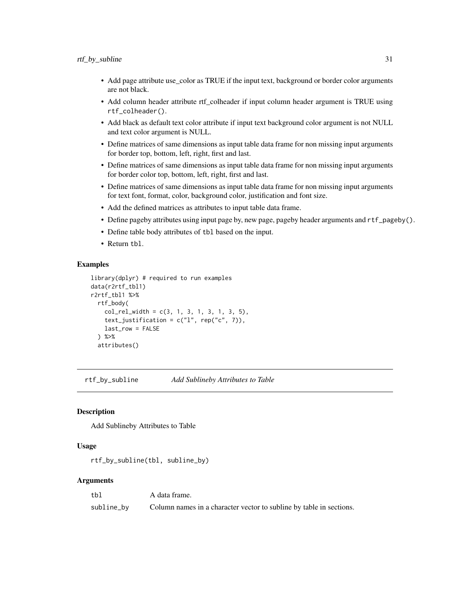- <span id="page-30-0"></span>• Add page attribute use\_color as TRUE if the input text, background or border color arguments are not black.
- Add column header attribute rtf\_colheader if input column header argument is TRUE using rtf\_colheader().
- Add black as default text color attribute if input text background color argument is not NULL and text color argument is NULL.
- Define matrices of same dimensions as input table data frame for non missing input arguments for border top, bottom, left, right, first and last.
- Define matrices of same dimensions as input table data frame for non missing input arguments for border color top, bottom, left, right, first and last.
- Define matrices of same dimensions as input table data frame for non missing input arguments for text font, format, color, background color, justification and font size.
- Add the defined matrices as attributes to input table data frame.
- Define pageby attributes using input page by, new page, pageby header arguments and rtf\_pageby().
- Define table body attributes of tbl based on the input.
- Return tbl.

#### Examples

```
library(dplyr) # required to run examples
data(r2rtf_tbl1)
r2rtf_tbl1 %>%
 rtf_body(
    col_{rel\_width} = c(3, 1, 3, 1, 3, 1, 3, 5),text_justification = c("l", rep("c", 7)),
   last_row = FALSE
 ) %>%
 attributes()
```
rtf\_by\_subline *Add Sublineby Attributes to Table*

#### Description

Add Sublineby Attributes to Table

#### Usage

```
rtf_by_subline(tbl, subline_by)
```

| tb]        | A data frame.                                                       |
|------------|---------------------------------------------------------------------|
| subline_by | Column names in a character vector to subline by table in sections. |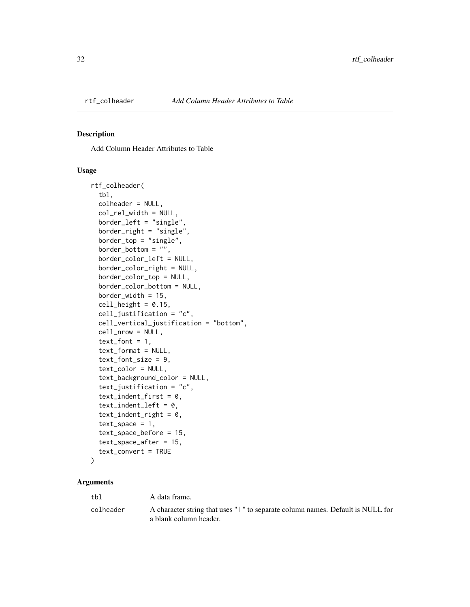<span id="page-31-0"></span>

Add Column Header Attributes to Table

#### Usage

```
rtf_colheader(
  tbl,
  colheader = NULL,
  col_rel_width = NULL,
  border_left = "single",
  border_right = "single",
  border_top = "single",
  border_bottom = ",
  border_color_left = NULL,
  border_color_right = NULL,
  border_color_top = NULL,
  border_color_bottom = NULL,
  border_width = 15,
  cell\_height = 0.15,
  cell_justification = "c",
  cell_vertical_justification = "bottom",
  cell_nrow = NULL,
  text_font = 1,
  text_format = NULL,
  text_font_size = 9,
  text_color = NULL,
  text_background_color = NULL,
  text_justification = "c",
  text\_indent\_first = 0,
  text\_indent\_left = 0,
  text\_indent\_right = 0,
  text_space = 1,
  text_space_before = 15,
  text_space_after = 15,
  text_convert = TRUE
\lambda
```

| tbl       | A data frame.                                                                                            |
|-----------|----------------------------------------------------------------------------------------------------------|
| colheader | A character string that uses "1" to separate column names. Default is NULL for<br>a blank column header. |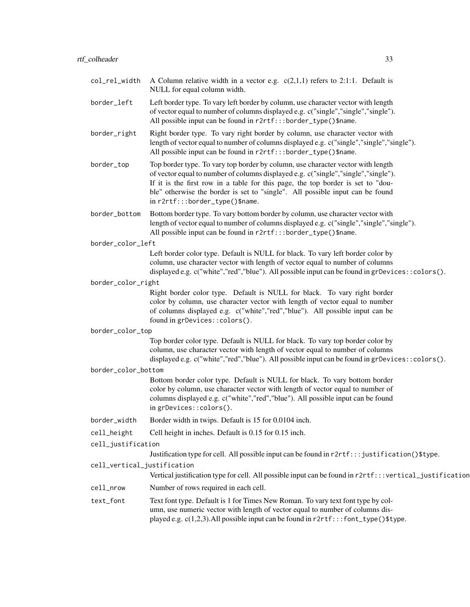| col_rel_width               | A Column relative width in a vector e.g. $c(2,1,1)$ refers to 2:1:1. Default is<br>NULL for equal column width.                                                                                                                                                                                                                                                              |
|-----------------------------|------------------------------------------------------------------------------------------------------------------------------------------------------------------------------------------------------------------------------------------------------------------------------------------------------------------------------------------------------------------------------|
| border_left                 | Left border type. To vary left border by column, use character vector with length<br>of vector equal to number of columns displayed e.g. c("single","single","single").<br>All possible input can be found in r2rtf:::border_type()\$name.                                                                                                                                   |
| border_right                | Right border type. To vary right border by column, use character vector with<br>length of vector equal to number of columns displayed e.g. c("single","single","single").<br>All possible input can be found in r2rtf:::border_type()\$name.                                                                                                                                 |
| border_top                  | Top border type. To vary top border by column, use character vector with length<br>of vector equal to number of columns displayed e.g. c("single","single","single").<br>If it is the first row in a table for this page, the top border is set to "dou-<br>ble" otherwise the border is set to "single". All possible input can be found<br>in r2rtf:::border_type()\$name. |
| border_bottom               | Bottom border type. To vary bottom border by column, use character vector with<br>length of vector equal to number of columns displayed e.g. c("single","single","single").<br>All possible input can be found in r2rtf:::border_type()\$name.                                                                                                                               |
| border_color_left           |                                                                                                                                                                                                                                                                                                                                                                              |
|                             | Left border color type. Default is NULL for black. To vary left border color by<br>column, use character vector with length of vector equal to number of columns<br>displayed e.g. c("white","red","blue"). All possible input can be found in grDevices::colors().                                                                                                          |
| border_color_right          |                                                                                                                                                                                                                                                                                                                                                                              |
|                             | Right border color type. Default is NULL for black. To vary right border<br>color by column, use character vector with length of vector equal to number<br>of columns displayed e.g. c("white","red","blue"). All possible input can be<br>found in grDevices::colors().                                                                                                     |
| border_color_top            |                                                                                                                                                                                                                                                                                                                                                                              |
|                             | Top border color type. Default is NULL for black. To vary top border color by<br>column, use character vector with length of vector equal to number of columns<br>displayed e.g. c("white","red","blue"). All possible input can be found in grDevices::colors().                                                                                                            |
| border_color_bottom         |                                                                                                                                                                                                                                                                                                                                                                              |
|                             | Bottom border color type. Default is NULL for black. To vary bottom border<br>color by column, use character vector with length of vector equal to number of<br>columns displayed e.g. c("white","red","blue"). All possible input can be found<br>in grDevices::colors().                                                                                                   |
| border_width                | Border width in twips. Default is 15 for 0.0104 inch.                                                                                                                                                                                                                                                                                                                        |
| cell_height                 | Cell height in inches. Default is 0.15 for 0.15 inch.                                                                                                                                                                                                                                                                                                                        |
| cell_justification          |                                                                                                                                                                                                                                                                                                                                                                              |
|                             | Justification type for cell. All possible input can be found in r2rtf:::justification()\$type.                                                                                                                                                                                                                                                                               |
| cell_vertical_justification | Vertical justification type for cell. All possible input can be found in r2rtf:::vertical_justification                                                                                                                                                                                                                                                                      |
| cell_nrow                   | Number of rows required in each cell.                                                                                                                                                                                                                                                                                                                                        |
|                             |                                                                                                                                                                                                                                                                                                                                                                              |
| text_font                   | Text font type. Default is 1 for Times New Roman. To vary text font type by col-<br>umn, use numeric vector with length of vector equal to number of columns dis-<br>played e.g. c(1,2,3). All possible input can be found in r2rtf:::font_type()\$type.                                                                                                                     |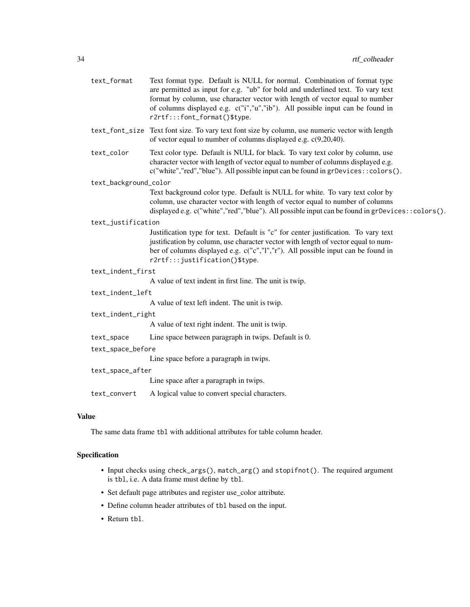| text_format           | Text format type. Default is NULL for normal. Combination of format type<br>are permitted as input for e.g. "ub" for bold and underlined text. To vary text<br>format by column, use character vector with length of vector equal to number<br>of columns displayed e.g. c("i","u","ib"). All possible input can be found in<br>r2rtf:::font_format()\$type. |
|-----------------------|--------------------------------------------------------------------------------------------------------------------------------------------------------------------------------------------------------------------------------------------------------------------------------------------------------------------------------------------------------------|
|                       | text_font_size Text font size. To vary text font size by column, use numeric vector with length<br>of vector equal to number of columns displayed e.g. $c(9,20,40)$ .                                                                                                                                                                                        |
| text_color            | Text color type. Default is NULL for black. To vary text color by column, use<br>character vector with length of vector equal to number of columns displayed e.g.<br>c("white","red","blue"). All possible input can be found in grDevices:: colors().                                                                                                       |
| text_background_color |                                                                                                                                                                                                                                                                                                                                                              |
|                       | Text background color type. Default is NULL for white. To vary text color by<br>column, use character vector with length of vector equal to number of columns<br>displayed e.g. $c("white", "red", "blue").$ All possible input can be found in gr $Devices::colors()$ .                                                                                     |
| text_justification    |                                                                                                                                                                                                                                                                                                                                                              |
|                       | Justification type for text. Default is "c" for center justification. To vary text<br>justification by column, use character vector with length of vector equal to num-<br>ber of columns displayed e.g. c("c","l","r"). All possible input can be found in<br>r2rtf:::justification()\$type.                                                                |
| text_indent_first     |                                                                                                                                                                                                                                                                                                                                                              |
|                       | A value of text indent in first line. The unit is twip.                                                                                                                                                                                                                                                                                                      |
| text_indent_left      |                                                                                                                                                                                                                                                                                                                                                              |
|                       | A value of text left indent. The unit is twip.                                                                                                                                                                                                                                                                                                               |
| text_indent_right     |                                                                                                                                                                                                                                                                                                                                                              |
|                       | A value of text right indent. The unit is twip.                                                                                                                                                                                                                                                                                                              |
| text_space            | Line space between paragraph in twips. Default is 0.                                                                                                                                                                                                                                                                                                         |
| text_space_before     |                                                                                                                                                                                                                                                                                                                                                              |
|                       | Line space before a paragraph in twips.                                                                                                                                                                                                                                                                                                                      |
| text_space_after      |                                                                                                                                                                                                                                                                                                                                                              |
|                       | Line space after a paragraph in twips.                                                                                                                                                                                                                                                                                                                       |
| text_convert          | A logical value to convert special characters.                                                                                                                                                                                                                                                                                                               |

### Value

The same data frame tbl with additional attributes for table column header.

- Input checks using check\_args(), match\_arg() and stopifnot(). The required argument is tbl, i.e. A data frame must define by tbl.
- Set default page attributes and register use\_color attribute.
- Define column header attributes of tbl based on the input.
- Return tbl.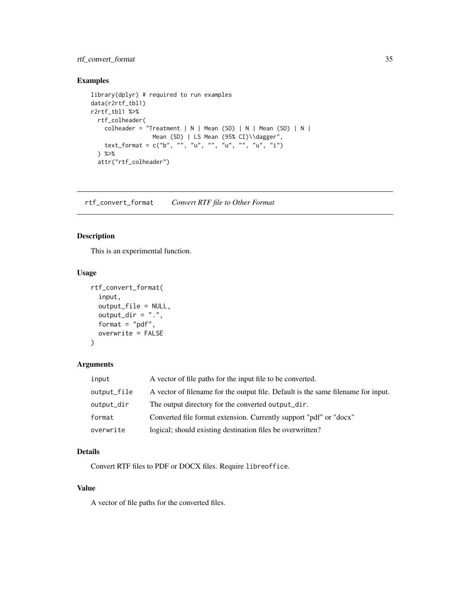### <span id="page-34-0"></span>rtf\_convert\_format 35

### Examples

```
library(dplyr) # required to run examples
data(r2rtf_tbl1)
r2rtf_tbl1 %>%
  rtf_colheader(
   colheader = "Treatment | N | Mean (SD) | N | Mean (SD) | N |
                Mean (SD) | LS Mean (95% CI)\\dagger",
   text_format = c("b", "", "u", "", "u", "", "u", "i")
  ) %>%
  attr("rtf_colheader")
```
rtf\_convert\_format *Convert RTF file to Other Format*

### Description

This is an experimental function.

#### Usage

```
rtf_convert_format(
  input,
 output_file = NULL,
 output\_dir = "."format = "pdf",overwrite = FALSE
)
```
### Arguments

| input       | A vector of file paths for the input file to be converted.                        |
|-------------|-----------------------------------------------------------------------------------|
| output_file | A vector of filename for the output file. Default is the same filename for input. |
| output_dir  | The output directory for the converted output_dir.                                |
| format      | Converted file format extension. Currently support "pdf" or "docx"                |
| overwrite   | logical; should existing destination files be overwritten?                        |

### Details

Convert RTF files to PDF or DOCX files. Require libreoffice.

### Value

A vector of file paths for the converted files.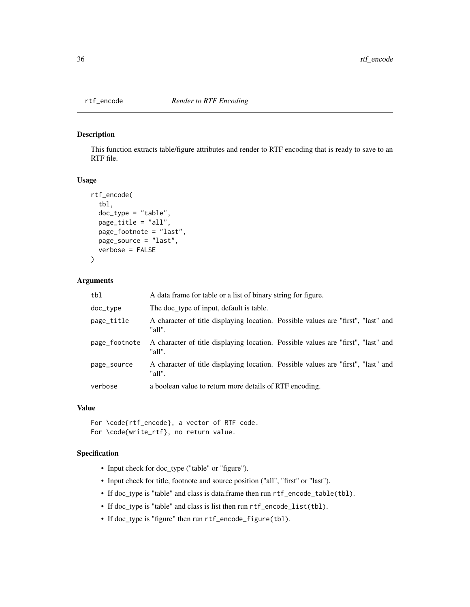<span id="page-35-0"></span>

This function extracts table/figure attributes and render to RTF encoding that is ready to save to an RTF file.

#### Usage

```
rtf_encode(
  tbl,
  doc_type = "table",
  page_title = "all",
  page_footnote = "last",
 page_source = "last",
  verbose = FALSE
)
```
#### Arguments

| tbl           | A data frame for table or a list of binary string for figure.                               |
|---------------|---------------------------------------------------------------------------------------------|
| doc_type      | The doc_type of input, default is table.                                                    |
| page_title    | A character of title displaying location. Possible values are "first", "last" and<br>"all". |
| page_footnote | A character of title displaying location. Possible values are "first", "last" and<br>"all". |
| page_source   | A character of title displaying location. Possible values are "first", "last" and<br>"all". |
| verbose       | a boolean value to return more details of RTF encoding.                                     |

#### Value

```
For \code{rtf_encode}, a vector of RTF code.
For \code{write_rtf}, no return value.
```
- Input check for doc\_type ("table" or "figure").
- Input check for title, footnote and source position ("all", "first" or "last").
- If doc\_type is "table" and class is data.frame then run rtf\_encode\_table(tbl).
- If doc\_type is "table" and class is list then run rtf\_encode\_list(tbl).
- If doc\_type is "figure" then run rtf\_encode\_figure(tbl).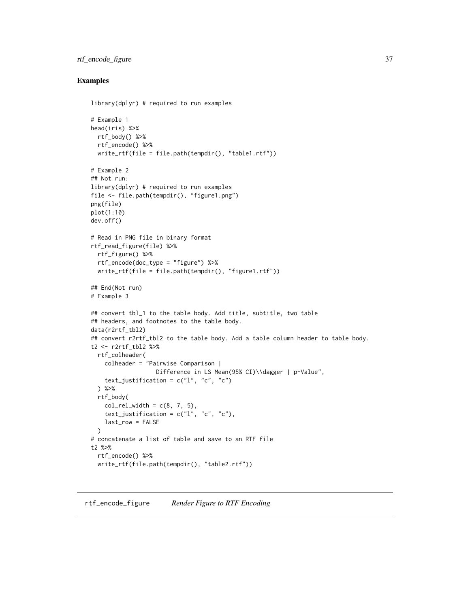### <span id="page-36-0"></span>rtf\_encode\_figure 37

#### Examples

```
library(dplyr) # required to run examples
# Example 1
head(iris) %>%
  rtf_body() %>%
  rtf_encode() %>%
  write_rtf(file = file.path(tempdir(), "table1.rtf"))
# Example 2
## Not run:
library(dplyr) # required to run examples
file <- file.path(tempdir(), "figure1.png")
png(file)
plot(1:10)
dev.off()
# Read in PNG file in binary format
rtf_read_figure(file) %>%
  rtf_figure() %>%
  rtf_encode(doc_type = "figure") %>%
  write\_rtf(file = file.path(tempdir(), "figure1.rtf"))## End(Not run)
# Example 3
## convert tbl_1 to the table body. Add title, subtitle, two table
## headers, and footnotes to the table body.
data(r2rtf_tbl2)
## convert r2rtf_tbl2 to the table body. Add a table column header to table body.
t2 <- r2rtf_tbl2 %>%
  rtf_colheader(
   colheader = "Pairwise Comparison |
                   Difference in LS Mean(95% CI)\\dagger | p-Value",
    text_justification = c("1", "c", "c")) %>%
  rtf_body(
   col_{rel\_width} = c(8, 7, 5),text_justification = c("1", "c", "c"),
   last_row = FALSE
  \lambda# concatenate a list of table and save to an RTF file
t2 %>%
  rtf_encode() %>%
  write_rtf(file.path(tempdir(), "table2.rtf"))
```
rtf\_encode\_figure *Render Figure to RTF Encoding*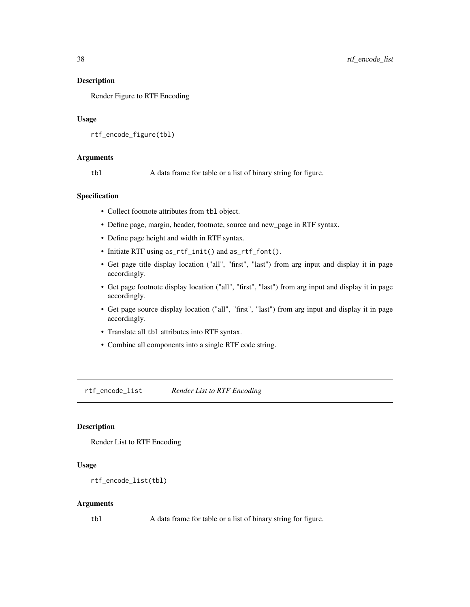Render Figure to RTF Encoding

#### Usage

```
rtf_encode_figure(tbl)
```
#### Arguments

tbl A data frame for table or a list of binary string for figure.

#### Specification

- Collect footnote attributes from tbl object.
- Define page, margin, header, footnote, source and new\_page in RTF syntax.
- Define page height and width in RTF syntax.
- Initiate RTF using as\_rtf\_init() and as\_rtf\_font().
- Get page title display location ("all", "first", "last") from arg input and display it in page accordingly.
- Get page footnote display location ("all", "first", "last") from arg input and display it in page accordingly.
- Get page source display location ("all", "first", "last") from arg input and display it in page accordingly.
- Translate all tbl attributes into RTF syntax.
- Combine all components into a single RTF code string.

rtf\_encode\_list *Render List to RTF Encoding*

### Description

Render List to RTF Encoding

#### Usage

```
rtf_encode_list(tbl)
```
#### Arguments

tbl A data frame for table or a list of binary string for figure.

<span id="page-37-0"></span>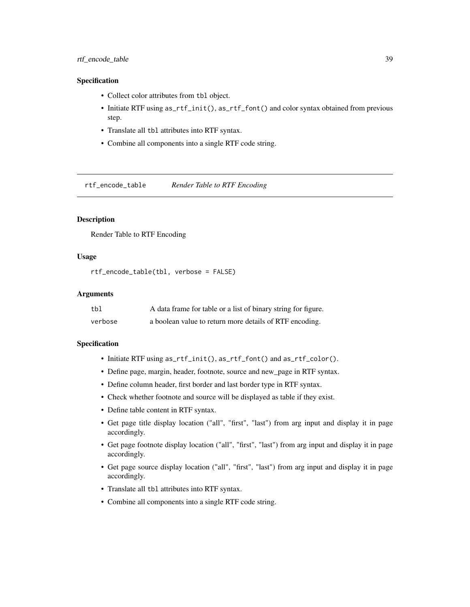### <span id="page-38-0"></span>rtf\_encode\_table 39

#### Specification

- Collect color attributes from tbl object.
- Initiate RTF using as\_rtf\_init(), as\_rtf\_font() and color syntax obtained from previous step.
- Translate all tbl attributes into RTF syntax.
- Combine all components into a single RTF code string.

rtf\_encode\_table *Render Table to RTF Encoding*

### **Description**

Render Table to RTF Encoding

### Usage

```
rtf_encode_table(tbl, verbose = FALSE)
```
#### Arguments

| tbl     | A data frame for table or a list of binary string for figure. |
|---------|---------------------------------------------------------------|
| verbose | a boolean value to return more details of RTF encoding.       |

- Initiate RTF using as\_rtf\_init(), as\_rtf\_font() and as\_rtf\_color().
- Define page, margin, header, footnote, source and new\_page in RTF syntax.
- Define column header, first border and last border type in RTF syntax.
- Check whether footnote and source will be displayed as table if they exist.
- Define table content in RTF syntax.
- Get page title display location ("all", "first", "last") from arg input and display it in page accordingly.
- Get page footnote display location ("all", "first", "last") from arg input and display it in page accordingly.
- Get page source display location ("all", "first", "last") from arg input and display it in page accordingly.
- Translate all tbl attributes into RTF syntax.
- Combine all components into a single RTF code string.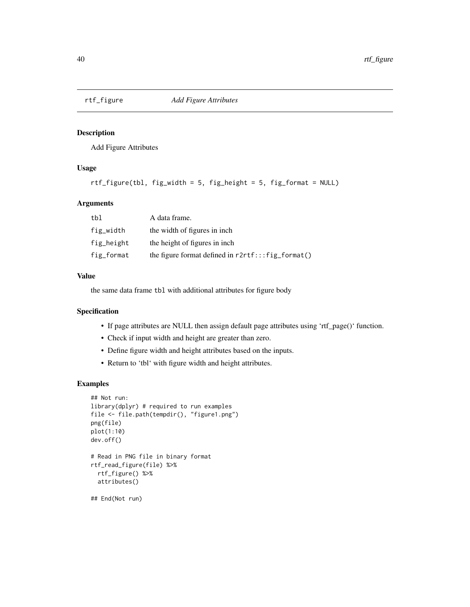<span id="page-39-0"></span>

Add Figure Attributes

### Usage

```
rtf_figure(tbl, fig_width = 5, fig_height = 5, fig_format = NULL)
```
### Arguments

| tbl        | A data frame.                                        |
|------------|------------------------------------------------------|
| fig_width  | the width of figures in inch.                        |
| fig_height | the height of figures in inch.                       |
| fig_format | the figure format defined in $r2rtf$ :: fig_format() |

#### Value

the same data frame tbl with additional attributes for figure body

### Specification

- If page attributes are NULL then assign default page attributes using 'rtf\_page()' function.
- Check if input width and height are greater than zero.
- Define figure width and height attributes based on the inputs.
- Return to 'tbl' with figure width and height attributes.

### Examples

```
## Not run:
library(dplyr) # required to run examples
file <- file.path(tempdir(), "figure1.png")
png(file)
plot(1:10)
dev.off()
# Read in PNG file in binary format
rtf_read_figure(file) %>%
  rtf_figure() %>%
  attributes()
## End(Not run)
```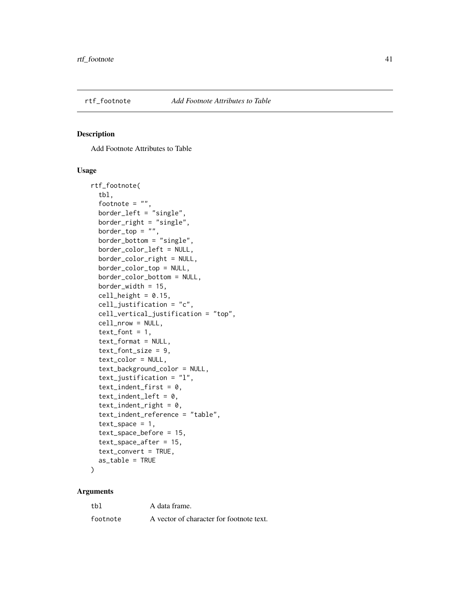<span id="page-40-0"></span>

Add Footnote Attributes to Table

#### Usage

```
rtf_footnote(
  tbl,
  footnote = ",
  border_left = "single",
 border_right = "single",
 border\_top = "",border_bottom = "single",
 border_color_left = NULL,
  border_color_right = NULL,
 border_color_top = NULL,
  border_color_bottom = NULL,
  border_width = 15,
  cell\_height = 0.15,
  cell_justification = "c",
  cell_vertical_justification = "top",
  cell_nrow = NULL,
  text_font = 1,
  text_format = NULL,
  text_font_size = 9,
  text_color = NULL,
  text_background_color = NULL,
  text_justification = "l",
  text_indent_first = 0,
  text\_indent\_left = 0,
  text\_indent\_right = 0,
  text_indent_reference = "table",
  text\_space = 1,
  text_space_before = 15,
  text_space_after = 15,
  text_convert = TRUE,
  as_table = TRUE
)
```

| tbl      | A data frame.                            |
|----------|------------------------------------------|
| footnote | A vector of character for footnote text. |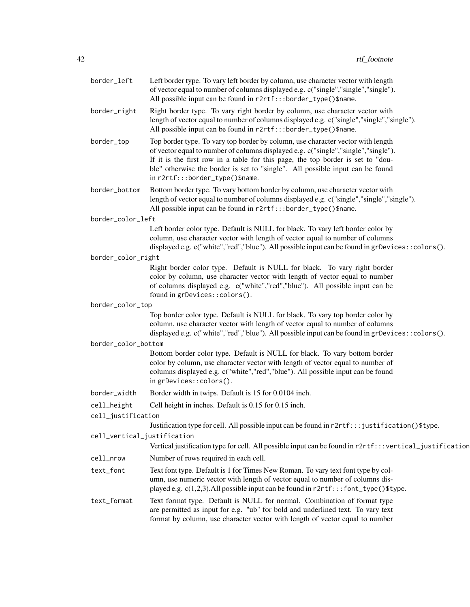| border_left                 | Left border type. To vary left border by column, use character vector with length<br>of vector equal to number of columns displayed e.g. c("single","single","single").<br>All possible input can be found in r2rtf:::border_type()\$name.                                                                                                                                   |
|-----------------------------|------------------------------------------------------------------------------------------------------------------------------------------------------------------------------------------------------------------------------------------------------------------------------------------------------------------------------------------------------------------------------|
| border_right                | Right border type. To vary right border by column, use character vector with<br>length of vector equal to number of columns displayed e.g. c("single","single","single").<br>All possible input can be found in r2rtf:::border_type()\$name.                                                                                                                                 |
| border_top                  | Top border type. To vary top border by column, use character vector with length<br>of vector equal to number of columns displayed e.g. c("single","single","single").<br>If it is the first row in a table for this page, the top border is set to "dou-<br>ble" otherwise the border is set to "single". All possible input can be found<br>in r2rtf:::border_type()\$name. |
| border_bottom               | Bottom border type. To vary bottom border by column, use character vector with<br>length of vector equal to number of columns displayed e.g. c("single","single","single").<br>All possible input can be found in r2rtf:::border_type()\$name.                                                                                                                               |
| border_color_left           |                                                                                                                                                                                                                                                                                                                                                                              |
|                             | Left border color type. Default is NULL for black. To vary left border color by<br>column, use character vector with length of vector equal to number of columns<br>displayed e.g. $c("white", "red", "blue").$ All possible input can be found in gr $Devices::colors()$ .                                                                                                  |
| border_color_right          |                                                                                                                                                                                                                                                                                                                                                                              |
|                             | Right border color type. Default is NULL for black. To vary right border<br>color by column, use character vector with length of vector equal to number<br>of columns displayed e.g. c("white","red","blue"). All possible input can be<br>found in grDevices::colors().                                                                                                     |
| border_color_top            |                                                                                                                                                                                                                                                                                                                                                                              |
|                             | Top border color type. Default is NULL for black. To vary top border color by<br>column, use character vector with length of vector equal to number of columns<br>displayed e.g. c("white","red","blue"). All possible input can be found in grDevices:: colors().                                                                                                           |
| border_color_bottom         |                                                                                                                                                                                                                                                                                                                                                                              |
|                             | Bottom border color type. Default is NULL for black. To vary bottom border<br>color by column, use character vector with length of vector equal to number of<br>columns displayed e.g. c("white","red","blue"). All possible input can be found<br>in grDevices::colors().                                                                                                   |
| border_width                | Border width in twips. Default is 15 for 0.0104 inch.                                                                                                                                                                                                                                                                                                                        |
| cell_height                 | Cell height in inches. Default is 0.15 for 0.15 inch.                                                                                                                                                                                                                                                                                                                        |
| cell_justification          | Justification type for cell. All possible input can be found in r2rtf::: justification()\$type.                                                                                                                                                                                                                                                                              |
| cell_vertical_justification | Vertical justification type for cell. All possible input can be found in r2rtf:::vertical_justification                                                                                                                                                                                                                                                                      |
| cell_nrow                   | Number of rows required in each cell.                                                                                                                                                                                                                                                                                                                                        |
| text_font                   | Text font type. Default is 1 for Times New Roman. To vary text font type by col-<br>umn, use numeric vector with length of vector equal to number of columns dis-<br>played e.g. $c(1,2,3)$ . All possible input can be found in $r2rtf$ :: font_type()\$type.                                                                                                               |
| text_format                 | Text format type. Default is NULL for normal. Combination of format type<br>are permitted as input for e.g. "ub" for bold and underlined text. To vary text<br>format by column, use character vector with length of vector equal to number                                                                                                                                  |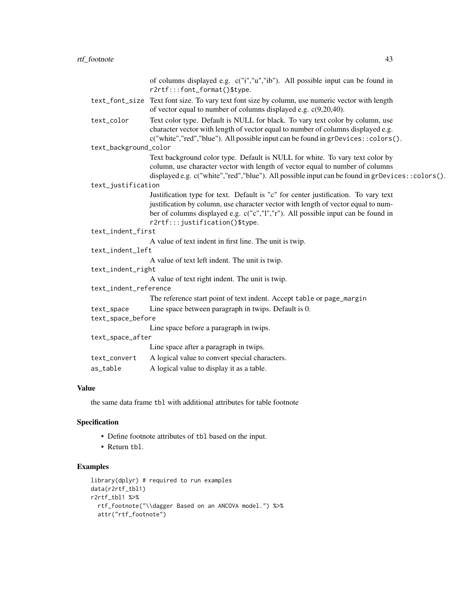|                       | of columns displayed e.g. c("i","u","ib"). All possible input can be found in<br>r2rtf:::font_format()\$type.                                                         |  |
|-----------------------|-----------------------------------------------------------------------------------------------------------------------------------------------------------------------|--|
|                       |                                                                                                                                                                       |  |
|                       | text_font_size Text font size. To vary text font size by column, use numeric vector with length<br>of vector equal to number of columns displayed e.g. $c(9,20,40)$ . |  |
| text_color            | Text color type. Default is NULL for black. To vary text color by column, use                                                                                         |  |
|                       | character vector with length of vector equal to number of columns displayed e.g.                                                                                      |  |
|                       | c("white","red","blue"). All possible input can be found in grDevices:: colors().                                                                                     |  |
| text_background_color |                                                                                                                                                                       |  |
|                       | Text background color type. Default is NULL for white. To vary text color by                                                                                          |  |
|                       | column, use character vector with length of vector equal to number of columns                                                                                         |  |
|                       | displayed e.g. c("white","red","blue"). All possible input can be found in grDevices::colors().                                                                       |  |
| text_justification    |                                                                                                                                                                       |  |
|                       | Justification type for text. Default is "c" for center justification. To vary text                                                                                    |  |
|                       | justification by column, use character vector with length of vector equal to num-                                                                                     |  |
|                       | ber of columns displayed e.g. c("c","l","r"). All possible input can be found in                                                                                      |  |
|                       | r2rtf:::justification()\$type.                                                                                                                                        |  |
| text_indent_first     |                                                                                                                                                                       |  |
|                       | A value of text indent in first line. The unit is twip.                                                                                                               |  |
| text_indent_left      |                                                                                                                                                                       |  |
|                       | A value of text left indent. The unit is twip.                                                                                                                        |  |
| text_indent_right     |                                                                                                                                                                       |  |
|                       | A value of text right indent. The unit is twip.                                                                                                                       |  |
| text_indent_reference |                                                                                                                                                                       |  |
|                       | The reference start point of text indent. Accept table or page_margin                                                                                                 |  |
| text_space            | Line space between paragraph in twips. Default is 0.                                                                                                                  |  |
| text_space_before     |                                                                                                                                                                       |  |
|                       | Line space before a paragraph in twips.                                                                                                                               |  |
| text_space_after      |                                                                                                                                                                       |  |
|                       | Line space after a paragraph in twips.                                                                                                                                |  |
| text_convert          | A logical value to convert special characters.                                                                                                                        |  |
| as_table              | A logical value to display it as a table.                                                                                                                             |  |
|                       |                                                                                                                                                                       |  |

### Value

the same data frame tbl with additional attributes for table footnote

### Specification

- Define footnote attributes of tbl based on the input.
- Return tbl.

### Examples

```
library(dplyr) # required to run examples
data(r2rtf_tbl1)
r2rtf_tbl1 %>%
 rtf_footnote("\\dagger Based on an ANCOVA model.") %>%
  attr("rtf_footnote")
```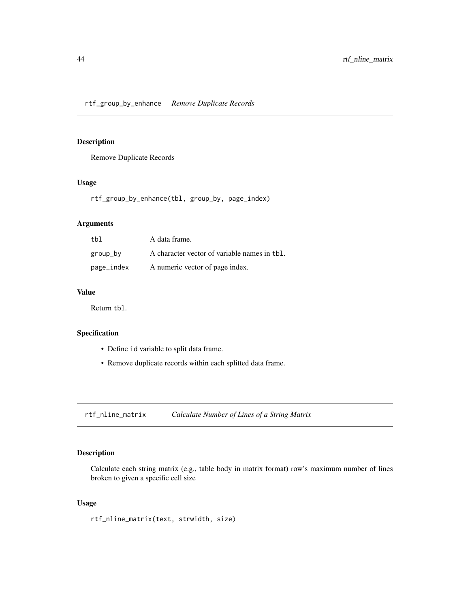<span id="page-43-0"></span>Remove Duplicate Records

### Usage

rtf\_group\_by\_enhance(tbl, group\_by, page\_index)

### Arguments

| tbl        | A data frame.                                |
|------------|----------------------------------------------|
| group_by   | A character vector of variable names in tbl. |
| page_index | A numeric vector of page index.              |

### Value

Return tbl.

### Specification

- Define id variable to split data frame.
- Remove duplicate records within each splitted data frame.

rtf\_nline\_matrix *Calculate Number of Lines of a String Matrix*

### Description

Calculate each string matrix (e.g., table body in matrix format) row's maximum number of lines broken to given a specific cell size

### Usage

rtf\_nline\_matrix(text, strwidth, size)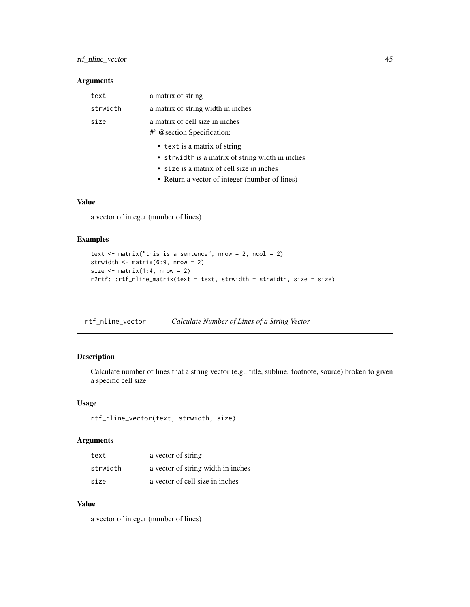### <span id="page-44-0"></span>rtf\_nline\_vector 45

### Arguments

| text     | a matrix of string                 |
|----------|------------------------------------|
| strwidth | a matrix of string width in inches |
| size     | a matrix of cell size in inches    |
|          | #' @section Specification:         |
|          | • text is a matrix of string       |

- strwidth is a matrix of string width in inches
- size is a matrix of cell size in inches
- Return a vector of integer (number of lines)

### Value

a vector of integer (number of lines)

### Examples

```
text \le matrix("this is a sentence", nrow = 2, ncol = 2)
strwidth \leq matrix(6:9, nrow = 2)
size \leq matrix(1:4, nrow = 2)
r2rtf:::rtf_nline_matrix(text = text, strwidth = strwidth, size = size)
```
rtf\_nline\_vector *Calculate Number of Lines of a String Vector*

### Description

Calculate number of lines that a string vector (e.g., title, subline, footnote, source) broken to given a specific cell size

### Usage

rtf\_nline\_vector(text, strwidth, size)

#### Arguments

| text     | a vector of string                 |
|----------|------------------------------------|
| strwidth | a vector of string width in inches |
| size     | a vector of cell size in inches    |

#### Value

a vector of integer (number of lines)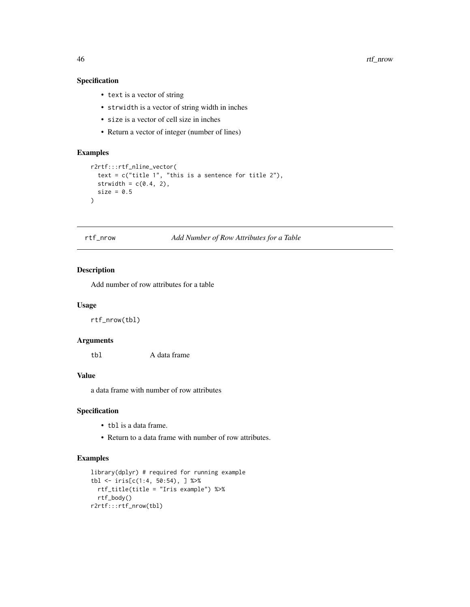<span id="page-45-0"></span>46 rtf\_nrow

### Specification

- text is a vector of string
- strwidth is a vector of string width in inches
- size is a vector of cell size in inches
- Return a vector of integer (number of lines)

### Examples

```
r2rtf:::rtf_nline_vector(
  text = c("title 1", "this is a sentence for title 2"),strwidth = c(0.4, 2),
  size = 0.5)
```
rtf\_nrow *Add Number of Row Attributes for a Table*

### Description

Add number of row attributes for a table

#### Usage

rtf\_nrow(tbl)

### Arguments

tbl A data frame

### Value

a data frame with number of row attributes

### Specification

- tbl is a data frame.
- Return to a data frame with number of row attributes.

### Examples

```
library(dplyr) # required for running example
tbl <- iris[c(1:4, 50:54), ] %>%
  rtf_title(title = "Iris example") %>%
  rtf_body()
r2rtf:::rtf_nrow(tbl)
```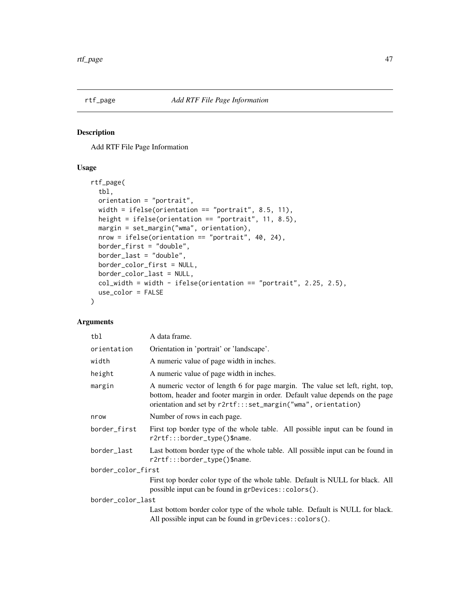<span id="page-46-0"></span>

Add RTF File Page Information

### Usage

```
rtf_page(
  tbl,
  orientation = "portrait",
 width = ifelse(orientation == "portrait", 8.5, 11),
 height = ifelse(orientation == "portrait", 11, 8.5),
 margin = set_margin("wma", orientation),
 nrow = ifelse(orientation == "portrait", 40, 24),
 border_first = "double",
 border_last = "double",
 border_color_first = NULL,
 border_color_last = NULL,
  col_width = width - ifelse(orientation == "portrait", 2.25, 2.5),
 use_color = FALSE
\mathcal{L}
```

| tbl                | A data frame.                                                                                                                                                                                                                  |  |
|--------------------|--------------------------------------------------------------------------------------------------------------------------------------------------------------------------------------------------------------------------------|--|
| orientation        | Orientation in 'portrait' or 'landscape'.                                                                                                                                                                                      |  |
| width              | A numeric value of page width in inches.                                                                                                                                                                                       |  |
| height             | A numeric value of page width in inches.                                                                                                                                                                                       |  |
| margin             | A numeric vector of length 6 for page margin. The value set left, right, top,<br>bottom, header and footer margin in order. Default value depends on the page<br>orientation and set by r2rtf:::set_margin("wma", orientation) |  |
| nrow               | Number of rows in each page.                                                                                                                                                                                                   |  |
| border_first       | First top border type of the whole table. All possible input can be found in<br>r2rtf:::border_type()\$name.                                                                                                                   |  |
| border_last        | Last bottom border type of the whole table. All possible input can be found in<br>r2rtf:::border_type()\$name.                                                                                                                 |  |
| border_color_first |                                                                                                                                                                                                                                |  |
|                    | First top border color type of the whole table. Default is NULL for black. All<br>possible input can be found in grDevices::colors().                                                                                          |  |
| border_color_last  |                                                                                                                                                                                                                                |  |
|                    | Last bottom border color type of the whole table. Default is NULL for black.<br>All possible input can be found in grDevices:: colors().                                                                                       |  |
|                    |                                                                                                                                                                                                                                |  |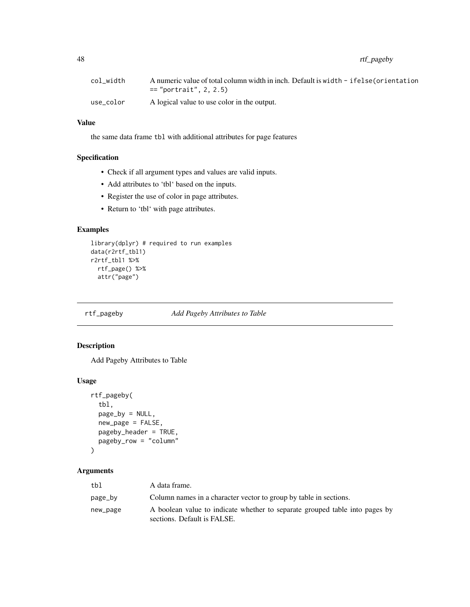<span id="page-47-0"></span>48 rtf\_pageby

| col width | A numeric value of total column width in inch. Default is width - ifelse (orientation<br>$==$ "portrait", 2, 2.5) |
|-----------|-------------------------------------------------------------------------------------------------------------------|
| use color | A logical value to use color in the output.                                                                       |

### Value

the same data frame tbl with additional attributes for page features

### Specification

- Check if all argument types and values are valid inputs.
- Add attributes to 'tbl' based on the inputs.
- Register the use of color in page attributes.
- Return to 'tbl' with page attributes.

### Examples

```
library(dplyr) # required to run examples
data(r2rtf_tbl1)
r2rtf_tbl1 %>%
 rtf_page() %>%
  attr("page")
```
#### rtf\_pageby *Add Pageby Attributes to Table*

### Description

Add Pageby Attributes to Table

#### Usage

```
rtf_pageby(
  tbl,
 page_by = NULL,
 new_page = FALSE,
 pageby_header = TRUE,
 pageby_row = "column"
)
```

| tbl      | A data frame.                                                                                              |
|----------|------------------------------------------------------------------------------------------------------------|
| page_by  | Column names in a character vector to group by table in sections.                                          |
| new_page | A boolean value to indicate whether to separate grouped table into pages by<br>sections. Default is FALSE. |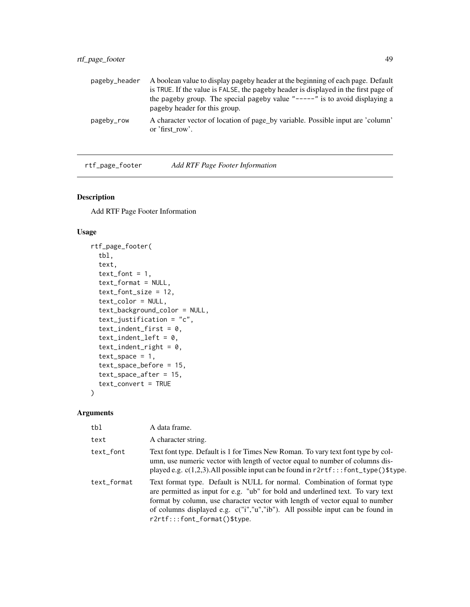### <span id="page-48-0"></span>rtf\_page\_footer 49

| pageby_header | A boolean value to display pageby header at the beginning of each page. Default                              |
|---------------|--------------------------------------------------------------------------------------------------------------|
|               | is TRUE. If the value is FALSE, the pageby header is displayed in the first page of                          |
|               | the pageby group. The special pageby value "-----" is to avoid displaying a<br>pageby header for this group. |
| pageby_row    | A character vector of location of page_by variable. Possible input are 'column'<br>or 'first row'.           |

rtf\_page\_footer *Add RTF Page Footer Information*

### Description

Add RTF Page Footer Information

### Usage

```
rtf_page_footer(
  tbl,
  text,
  text_font = 1,
  text_format = NULL,
  text_font_size = 12,
  text_color = NULL,
  text_background_color = NULL,
  text_justification = "c",
  text_indent_first = 0,
  text_indent_left = 0,
  text\_indent\_right = 0,
  text\_space = 1,
  text_space_before = 15,
  text_space_after = 15,
  text_convert = TRUE
)
```

| tbl         | A data frame.                                                                                                                                                                                                                                                                                                                                                   |
|-------------|-----------------------------------------------------------------------------------------------------------------------------------------------------------------------------------------------------------------------------------------------------------------------------------------------------------------------------------------------------------------|
| text        | A character string.                                                                                                                                                                                                                                                                                                                                             |
| text_font   | Text font type. Default is 1 for Times New Roman. To vary text font type by col-<br>umn, use numeric vector with length of vector equal to number of columns dis-<br>played e.g. $c(1,2,3)$ . All possible input can be found in $r2rtf$ :::font_type()\$type.                                                                                                  |
| text_format | Text format type. Default is NULL for normal. Combination of format type<br>are permitted as input for e.g. "ub" for bold and underlined text. To vary text<br>format by column, use character vector with length of vector equal to number<br>of columns displayed e.g. c("i","u","ib"). All possible input can be found in<br>$r2rtf:::font_format()$ \$type. |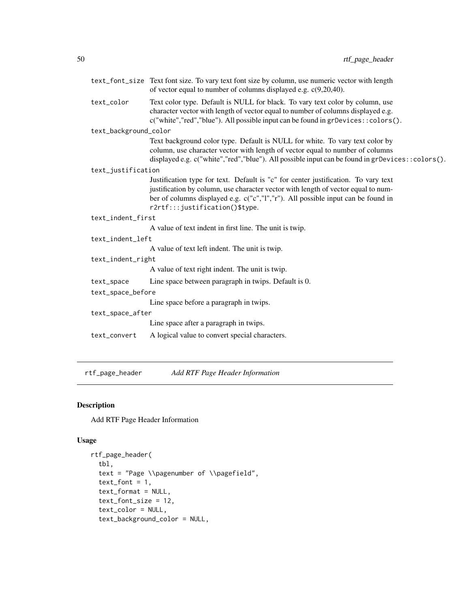<span id="page-49-0"></span>

|                       | text_font_size Text font size. To vary text font size by column, use numeric vector with length<br>of vector equal to number of columns displayed e.g. $c(9,20,40)$ .                                                                                                                         |  |
|-----------------------|-----------------------------------------------------------------------------------------------------------------------------------------------------------------------------------------------------------------------------------------------------------------------------------------------|--|
| text_color            | Text color type. Default is NULL for black. To vary text color by column, use<br>character vector with length of vector equal to number of columns displayed e.g.<br>c("white","red","blue"). All possible input can be found in grDevices:: colors().                                        |  |
| text_background_color |                                                                                                                                                                                                                                                                                               |  |
|                       | Text background color type. Default is NULL for white. To vary text color by<br>column, use character vector with length of vector equal to number of columns<br>displayed e.g. c("white","red","blue"). All possible input can be found in grDevices::colors().                              |  |
| text_justification    |                                                                                                                                                                                                                                                                                               |  |
|                       | Justification type for text. Default is "c" for center justification. To vary text<br>justification by column, use character vector with length of vector equal to num-<br>ber of columns displayed e.g. c("c","l","r"). All possible input can be found in<br>r2rtf:::justification()\$type. |  |
| text_indent_first     |                                                                                                                                                                                                                                                                                               |  |
|                       | A value of text indent in first line. The unit is twip.                                                                                                                                                                                                                                       |  |
| text_indent_left      |                                                                                                                                                                                                                                                                                               |  |
|                       | A value of text left indent. The unit is twip.                                                                                                                                                                                                                                                |  |
| text_indent_right     |                                                                                                                                                                                                                                                                                               |  |
|                       | A value of text right indent. The unit is twip.                                                                                                                                                                                                                                               |  |
| text_space            | Line space between paragraph in twips. Default is 0.                                                                                                                                                                                                                                          |  |
| text_space_before     |                                                                                                                                                                                                                                                                                               |  |
|                       | Line space before a paragraph in twips.                                                                                                                                                                                                                                                       |  |
| text_space_after      |                                                                                                                                                                                                                                                                                               |  |
|                       | Line space after a paragraph in twips.                                                                                                                                                                                                                                                        |  |
| text_convert          | A logical value to convert special characters.                                                                                                                                                                                                                                                |  |

rtf\_page\_header *Add RTF Page Header Information*

### Description

Add RTF Page Header Information

### Usage

```
rtf_page_header(
 tbl,
 text = "Page \\pagenumber of \\pagefield",
 text_font = 1,
 text_format = NULL,
 text_font_size = 12,
 text_color = NULL,
 text_background_color = NULL,
```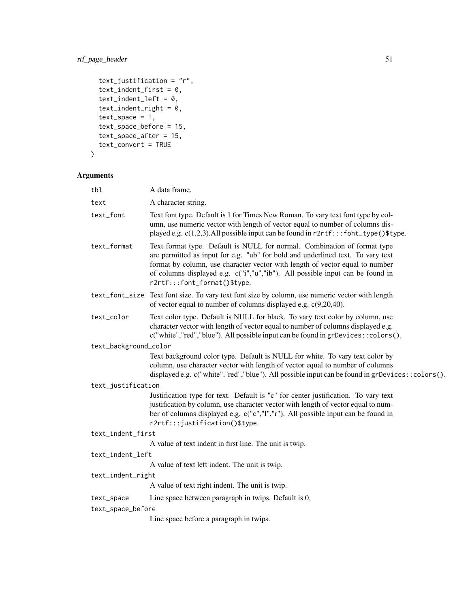### rtf\_page\_header 51

```
text_justification = "r",
 text\_indent\_first = 0,
 text\_indent\_left = 0,
 text\_indent\_right = 0,
  text\_space = 1,
 text_space_before = 15,
 text_space_after = 15,
  text_convert = TRUE
\mathcal{L}
```

| tbl                   | A data frame.                                                                                                                                                                                                                                                                                                                                                |
|-----------------------|--------------------------------------------------------------------------------------------------------------------------------------------------------------------------------------------------------------------------------------------------------------------------------------------------------------------------------------------------------------|
| text                  | A character string.                                                                                                                                                                                                                                                                                                                                          |
| text_font             | Text font type. Default is 1 for Times New Roman. To vary text font type by col-<br>umn, use numeric vector with length of vector equal to number of columns dis-<br>played e.g. c(1,2,3). All possible input can be found in r2rtf:::font_type()\$type.                                                                                                     |
| text_format           | Text format type. Default is NULL for normal. Combination of format type<br>are permitted as input for e.g. "ub" for bold and underlined text. To vary text<br>format by column, use character vector with length of vector equal to number<br>of columns displayed e.g. c("i","u","ib"). All possible input can be found in<br>r2rtf:::font_format()\$type. |
|                       | text_font_size Text font size. To vary text font size by column, use numeric vector with length<br>of vector equal to number of columns displayed e.g. $c(9,20,40)$ .                                                                                                                                                                                        |
| text_color            | Text color type. Default is NULL for black. To vary text color by column, use<br>character vector with length of vector equal to number of columns displayed e.g.<br>c("white","red","blue"). All possible input can be found in grDevices::colors().                                                                                                        |
| text_background_color |                                                                                                                                                                                                                                                                                                                                                              |
|                       | Text background color type. Default is NULL for white. To vary text color by<br>column, use character vector with length of vector equal to number of columns<br>displayed e.g. $c("white", "red", "blue").$ All possible input can be found in gr $Devices::colors()$ .                                                                                     |
| text_justification    |                                                                                                                                                                                                                                                                                                                                                              |
|                       | Justification type for text. Default is "c" for center justification. To vary text<br>justification by column, use character vector with length of vector equal to num-<br>ber of columns displayed e.g. c("c","l","r"). All possible input can be found in<br>r2rtf:::justification()\$type.                                                                |
| text_indent_first     |                                                                                                                                                                                                                                                                                                                                                              |
|                       | A value of text indent in first line. The unit is twip.                                                                                                                                                                                                                                                                                                      |
| text_indent_left      |                                                                                                                                                                                                                                                                                                                                                              |
|                       | A value of text left indent. The unit is twip.                                                                                                                                                                                                                                                                                                               |
| text_indent_right     |                                                                                                                                                                                                                                                                                                                                                              |
|                       | A value of text right indent. The unit is twip.                                                                                                                                                                                                                                                                                                              |
| text_space            | Line space between paragraph in twips. Default is 0.                                                                                                                                                                                                                                                                                                         |
| text_space_before     |                                                                                                                                                                                                                                                                                                                                                              |
|                       | Line space before a paragraph in twips.                                                                                                                                                                                                                                                                                                                      |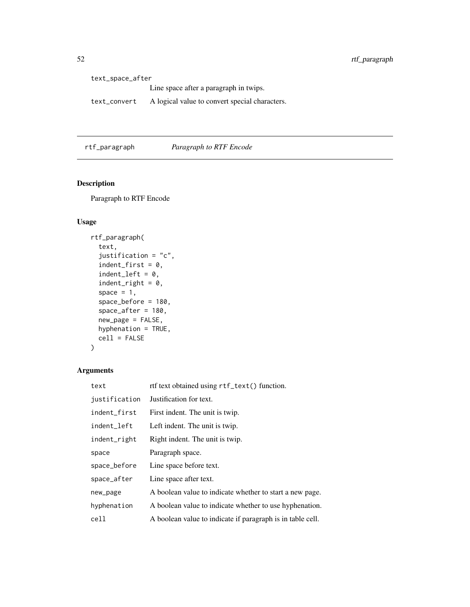text\_space\_after Line space after a paragraph in twips. text\_convert A logical value to convert special characters.

rtf\_paragraph *Paragraph to RTF Encode*

### Description

Paragraph to RTF Encode

### Usage

```
rtf_paragraph(
  text,
  justification = "c",
  indent\_first = 0,indent_{left} = 0,
  indent\_right = 0,space = 1,
  space_before = 180,
  space_after = 180,
  new_page = FALSE,
 hyphenation = TRUE,
  cell = FALSE\mathcal{L}
```

| text          | rtf text obtained using rtf_text() function.               |
|---------------|------------------------------------------------------------|
| justification | Justification for text.                                    |
| indent_first  | First indent. The unit is twip.                            |
| indent_left   | Left indent. The unit is twip.                             |
| indent_right  | Right indent. The unit is twip.                            |
| space         | Paragraph space.                                           |
| space_before  | Line space before text.                                    |
| space_after   | Line space after text.                                     |
| new_page      | A boolean value to indicate whether to start a new page.   |
| hyphenation   | A boolean value to indicate whether to use hyphenation.    |
| cell          | A boolean value to indicate if paragraph is in table cell. |

<span id="page-51-0"></span>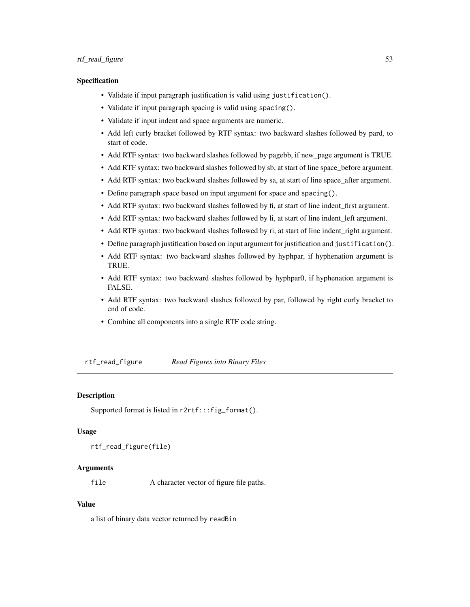#### <span id="page-52-0"></span>rtf\_read\_figure 53

#### Specification

- Validate if input paragraph justification is valid using justification().
- Validate if input paragraph spacing is valid using spacing().
- Validate if input indent and space arguments are numeric.
- Add left curly bracket followed by RTF syntax: two backward slashes followed by pard, to start of code.
- Add RTF syntax: two backward slashes followed by pagebb, if new\_page argument is TRUE.
- Add RTF syntax: two backward slashes followed by sb, at start of line space\_before argument.
- Add RTF syntax: two backward slashes followed by sa, at start of line space\_after argument.
- Define paragraph space based on input argument for space and spacing().
- Add RTF syntax: two backward slashes followed by fi, at start of line indent\_first argument.
- Add RTF syntax: two backward slashes followed by li, at start of line indent\_left argument.
- Add RTF syntax: two backward slashes followed by ri, at start of line indent\_right argument.
- Define paragraph justification based on input argument for justification and justification().
- Add RTF syntax: two backward slashes followed by hyphpar, if hyphenation argument is TRUE.
- Add RTF syntax: two backward slashes followed by hyphpar0, if hyphenation argument is FALSE.
- Add RTF syntax: two backward slashes followed by par, followed by right curly bracket to end of code.
- Combine all components into a single RTF code string.

rtf\_read\_figure *Read Figures into Binary Files*

#### Description

Supported format is listed in r2rtf:::fig\_format().

#### Usage

```
rtf_read_figure(file)
```
### Arguments

file A character vector of figure file paths.

#### Value

a list of binary data vector returned by readBin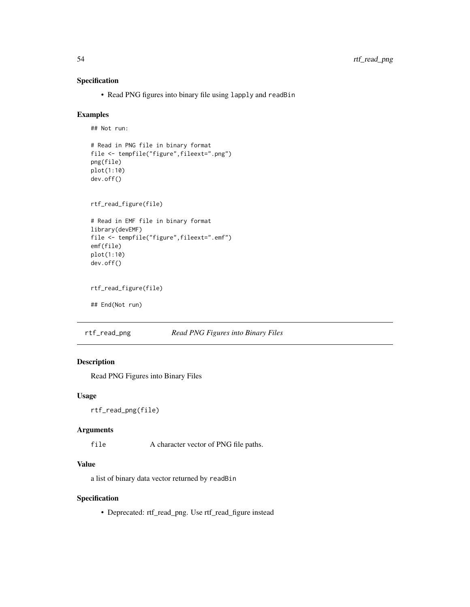### Specification

• Read PNG figures into binary file using lapply and readBin

#### Examples

```
## Not run:
# Read in PNG file in binary format
file <- tempfile("figure",fileext=".png")
png(file)
plot(1:10)
dev.off()
rtf_read_figure(file)
# Read in EMF file in binary format
library(devEMF)
file <- tempfile("figure",fileext=".emf")
emf(file)
plot(1:10)
dev.off()
rtf_read_figure(file)
## End(Not run)
```
rtf\_read\_png *Read PNG Figures into Binary Files*

### Description

Read PNG Figures into Binary Files

### Usage

```
rtf_read_png(file)
```
### Arguments

file A character vector of PNG file paths.

### Value

a list of binary data vector returned by readBin

### Specification

• Deprecated: rtf\_read\_png. Use rtf\_read\_figure instead

<span id="page-53-0"></span>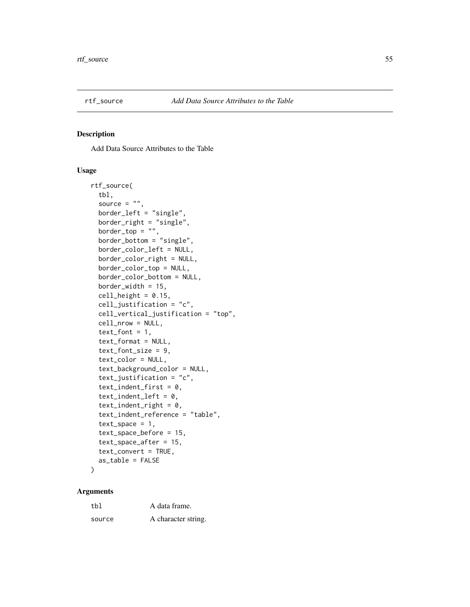<span id="page-54-0"></span>

Add Data Source Attributes to the Table

#### Usage

```
rtf_source(
  tbl,
  source = ",
  border_left = "single",
 border_right = "single",
 border\_top = "",border_bottom = "single",
  border_color_left = NULL,
  border_color_right = NULL,
  border_color_top = NULL,
  border_color_bottom = NULL,
  border_width = 15,
  cell\_height = 0.15,
  cell_justification = "c",
  cell_vertical_justification = "top",
  cell_nrow = NULL,
  text_font = 1,
  text_format = NULL,
  text_font_size = 9,
  text_color = NULL,
  text_background_color = NULL,
  text_justification = "c",
  text_indent_first = 0,
  text\_indent\_left = 0,
  text\_indent\_right = 0,
  text_indent_reference = "table",
  text\_space = 1,
  text_space_before = 15,
  text_space_after = 15,
  text_convert = TRUE,
  as_table = FALSE
)
```

| tbl    | A data frame.       |
|--------|---------------------|
| source | A character string. |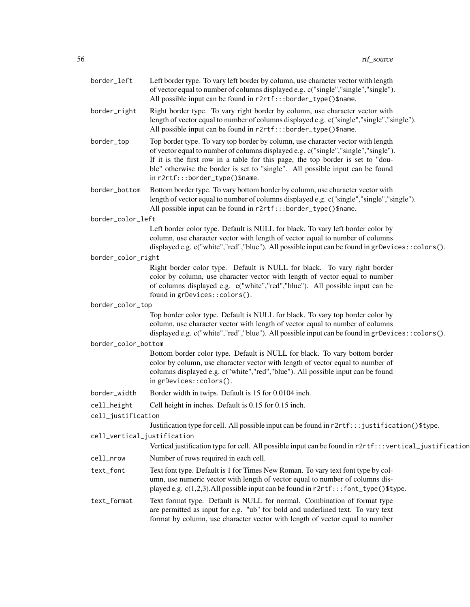| border_left                 | Left border type. To vary left border by column, use character vector with length<br>of vector equal to number of columns displayed e.g. c("single","single","single").<br>All possible input can be found in r2rtf:::border_type()\$name.                                                                                                                                   |
|-----------------------------|------------------------------------------------------------------------------------------------------------------------------------------------------------------------------------------------------------------------------------------------------------------------------------------------------------------------------------------------------------------------------|
| border_right                | Right border type. To vary right border by column, use character vector with<br>length of vector equal to number of columns displayed e.g. c("single","single","single").<br>All possible input can be found in r2rtf:::border_type()\$name.                                                                                                                                 |
| border_top                  | Top border type. To vary top border by column, use character vector with length<br>of vector equal to number of columns displayed e.g. c("single","single","single").<br>If it is the first row in a table for this page, the top border is set to "dou-<br>ble" otherwise the border is set to "single". All possible input can be found<br>in r2rtf:::border_type()\$name. |
| border_bottom               | Bottom border type. To vary bottom border by column, use character vector with<br>length of vector equal to number of columns displayed e.g. c("single","single","single").<br>All possible input can be found in r2rtf:::border_type()\$name.                                                                                                                               |
| border_color_left           |                                                                                                                                                                                                                                                                                                                                                                              |
|                             | Left border color type. Default is NULL for black. To vary left border color by<br>column, use character vector with length of vector equal to number of columns<br>displayed e.g. $c("white", "red", "blue").$ All possible input can be found in gr $Devices::colors()$ .                                                                                                  |
| border_color_right          |                                                                                                                                                                                                                                                                                                                                                                              |
|                             | Right border color type. Default is NULL for black. To vary right border<br>color by column, use character vector with length of vector equal to number<br>of columns displayed e.g. c("white","red","blue"). All possible input can be<br>found in grDevices::colors().                                                                                                     |
| border_color_top            |                                                                                                                                                                                                                                                                                                                                                                              |
|                             | Top border color type. Default is NULL for black. To vary top border color by<br>column, use character vector with length of vector equal to number of columns<br>displayed e.g. c("white","red","blue"). All possible input can be found in grDevices:: colors().                                                                                                           |
| border_color_bottom         |                                                                                                                                                                                                                                                                                                                                                                              |
|                             | Bottom border color type. Default is NULL for black. To vary bottom border<br>color by column, use character vector with length of vector equal to number of<br>columns displayed e.g. c("white","red","blue"). All possible input can be found<br>in grDevices::colors().                                                                                                   |
| border_width                | Border width in twips. Default is 15 for 0.0104 inch.                                                                                                                                                                                                                                                                                                                        |
| cell_height                 | Cell height in inches. Default is 0.15 for 0.15 inch.                                                                                                                                                                                                                                                                                                                        |
| cell_justification          | Justification type for cell. All possible input can be found in r2rtf::: justification()\$type.                                                                                                                                                                                                                                                                              |
| cell_vertical_justification | Vertical justification type for cell. All possible input can be found in r2rtf:::vertical_justification                                                                                                                                                                                                                                                                      |
| cell_nrow                   | Number of rows required in each cell.                                                                                                                                                                                                                                                                                                                                        |
| text_font                   | Text font type. Default is 1 for Times New Roman. To vary text font type by col-<br>umn, use numeric vector with length of vector equal to number of columns dis-<br>played e.g. $c(1,2,3)$ . All possible input can be found in $r2rtf$ :: font_type()\$type.                                                                                                               |
| text_format                 | Text format type. Default is NULL for normal. Combination of format type<br>are permitted as input for e.g. "ub" for bold and underlined text. To vary text<br>format by column, use character vector with length of vector equal to number                                                                                                                                  |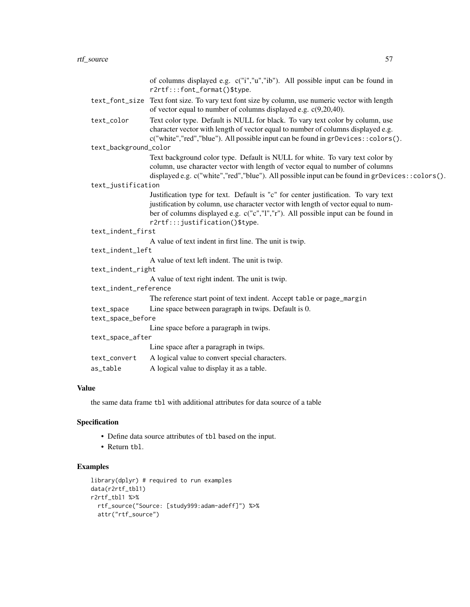|                       | of columns displayed e.g. c("i","u","ib"). All possible input can be found in                                                                                         |
|-----------------------|-----------------------------------------------------------------------------------------------------------------------------------------------------------------------|
|                       | r2rtf:::font_format()\$type.                                                                                                                                          |
|                       | text_font_size Text font size. To vary text font size by column, use numeric vector with length<br>of vector equal to number of columns displayed e.g. $c(9,20,40)$ . |
| text_color            | Text color type. Default is NULL for black. To vary text color by column, use<br>character vector with length of vector equal to number of columns displayed e.g.     |
| text_background_color | c("white","red","blue"). All possible input can be found in grDevices::colors().                                                                                      |
|                       | Text background color type. Default is NULL for white. To vary text color by                                                                                          |
|                       | column, use character vector with length of vector equal to number of columns                                                                                         |
|                       | displayed e.g. c("white","red","blue"). All possible input can be found in grDevices::colors().                                                                       |
| text_justification    |                                                                                                                                                                       |
|                       | Justification type for text. Default is "c" for center justification. To vary text                                                                                    |
|                       | justification by column, use character vector with length of vector equal to num-                                                                                     |
|                       | ber of columns displayed e.g. c("c","l","r"). All possible input can be found in                                                                                      |
|                       | r2rtf:::justification()\$type.                                                                                                                                        |
| text_indent_first     |                                                                                                                                                                       |
|                       | A value of text indent in first line. The unit is twip.                                                                                                               |
| text_indent_left      |                                                                                                                                                                       |
|                       | A value of text left indent. The unit is twip.                                                                                                                        |
| text_indent_right     |                                                                                                                                                                       |
|                       | A value of text right indent. The unit is twip.                                                                                                                       |
| text_indent_reference |                                                                                                                                                                       |
|                       | The reference start point of text indent. Accept table or page_margin                                                                                                 |
| text_space            | Line space between paragraph in twips. Default is 0.                                                                                                                  |
| text_space_before     |                                                                                                                                                                       |
|                       | Line space before a paragraph in twips.                                                                                                                               |
| text_space_after      |                                                                                                                                                                       |
|                       | Line space after a paragraph in twips.                                                                                                                                |
| text_convert          | A logical value to convert special characters.                                                                                                                        |
| as_table              | A logical value to display it as a table.                                                                                                                             |
|                       |                                                                                                                                                                       |

### Value

the same data frame tbl with additional attributes for data source of a table

### Specification

- Define data source attributes of tbl based on the input.
- Return tbl.

### Examples

```
library(dplyr) # required to run examples
data(r2rtf_tbl1)
r2rtf_tbl1 %>%
  rtf_source("Source: [study999:adam-adeff]") %>%
  attr("rtf_source")
```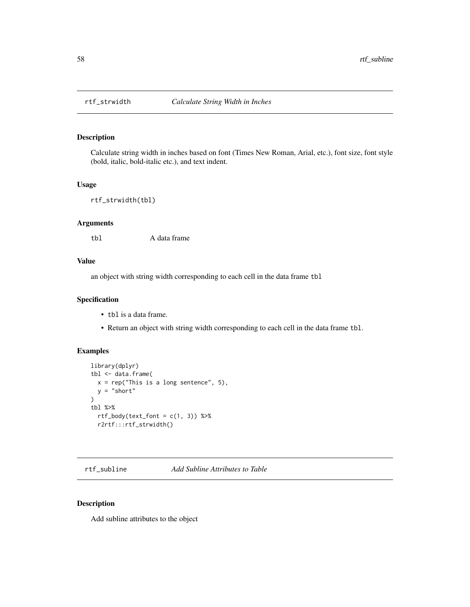<span id="page-57-0"></span>

Calculate string width in inches based on font (Times New Roman, Arial, etc.), font size, font style (bold, italic, bold-italic etc.), and text indent.

#### Usage

```
rtf_strwidth(tbl)
```
### Arguments

tbl A data frame

### Value

an object with string width corresponding to each cell in the data frame tbl

#### Specification

- tbl is a data frame.
- Return an object with string width corresponding to each cell in the data frame tbl.

### Examples

```
library(dplyr)
tbl <- data.frame(
  x = rep("This is a long sentence", 5),y = "short"\lambdatbl %>%
  rtf_{body}(text_{font} = c(1, 3)) %>%
  r2rtf:::rtf_strwidth()
```
rtf\_subline *Add Subline Attributes to Table*

#### Description

Add subline attributes to the object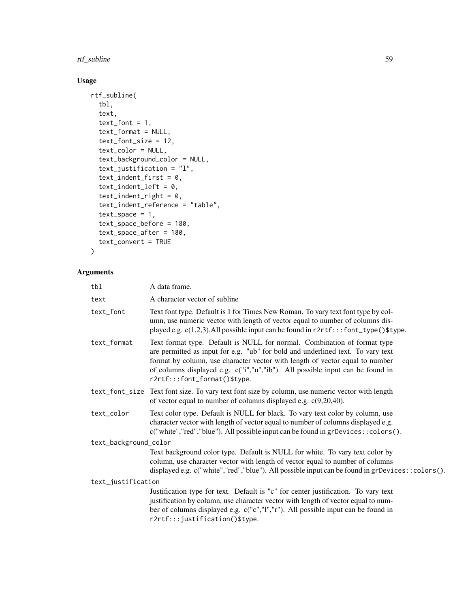### rtf\_subline 59

### Usage

```
rtf_subline(
  tbl,
  text,
  text_font = 1,
  text_format = NULL,
  text_font_size = 12,
  text_color = NULL,
  text_background_color = NULL,
  text_justification = "l",
  text\_indent\_first = 0,
  text_indent_left = 0,
  text\_indent\_right = 0,
  text_indent_reference = "table",
  text\_space = 1,
  text_space_before = 180,
  text_space_after = 180,
  text_convert = TRUE
\mathcal{L}
```

| tbl                   | A data frame.                                                                                                                                                                                                                                                                                                                                                |
|-----------------------|--------------------------------------------------------------------------------------------------------------------------------------------------------------------------------------------------------------------------------------------------------------------------------------------------------------------------------------------------------------|
| text                  | A character vector of subline                                                                                                                                                                                                                                                                                                                                |
| text_font             | Text font type. Default is 1 for Times New Roman. To vary text font type by col-<br>umn, use numeric vector with length of vector equal to number of columns dis-<br>played e.g. c(1,2,3). All possible input can be found in r2rtf:::font_type()\$type.                                                                                                     |
| text_format           | Text format type. Default is NULL for normal. Combination of format type<br>are permitted as input for e.g. "ub" for bold and underlined text. To vary text<br>format by column, use character vector with length of vector equal to number<br>of columns displayed e.g. c("i","u","ib"). All possible input can be found in<br>r2rtf:::font_format()\$type. |
|                       | text_font_size Text font size. To vary text font size by column, use numeric vector with length<br>of vector equal to number of columns displayed e.g. $c(9,20,40)$ .                                                                                                                                                                                        |
| text_color            | Text color type. Default is NULL for black. To vary text color by column, use<br>character vector with length of vector equal to number of columns displayed e.g.<br>c("white","red","blue"). All possible input can be found in grDevices:: colors().                                                                                                       |
| text_background_color |                                                                                                                                                                                                                                                                                                                                                              |
|                       | Text background color type. Default is NULL for white. To vary text color by<br>column, use character vector with length of vector equal to number of columns<br>displayed e.g. c("white","red","blue"). All possible input can be found in grDevices::colors().                                                                                             |
| text_justification    |                                                                                                                                                                                                                                                                                                                                                              |
|                       | Justification type for text. Default is "c" for center justification. To vary text<br>justification by column, use character vector with length of vector equal to num-<br>ber of columns displayed e.g. c("c","l","r"). All possible input can be found in<br>r2rtf:::justification()\$type.                                                                |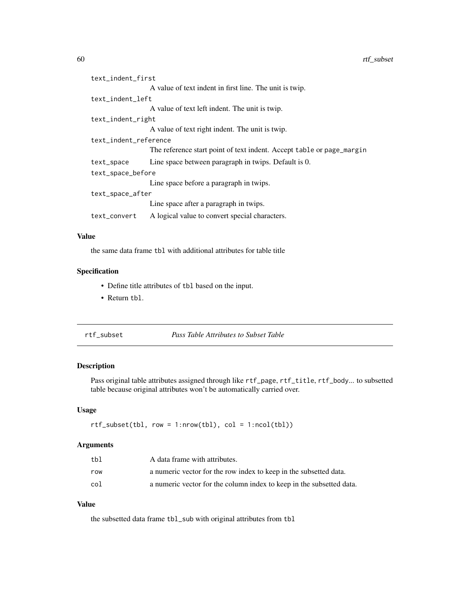<span id="page-59-0"></span>

| text_indent_first     |                                                                       |
|-----------------------|-----------------------------------------------------------------------|
|                       | A value of text indent in first line. The unit is twip.               |
| text_indent_left      |                                                                       |
|                       | A value of text left indent. The unit is twip.                        |
| text_indent_right     |                                                                       |
|                       | A value of text right indent. The unit is twip.                       |
| text_indent_reference |                                                                       |
|                       | The reference start point of text indent. Accept table or page_margin |
| text_space            | Line space between paragraph in twips. Default is 0.                  |
| text_space_before     |                                                                       |
|                       | Line space before a paragraph in twips.                               |
| text_space_after      |                                                                       |
|                       | Line space after a paragraph in twips.                                |
| text_convert          | A logical value to convert special characters.                        |

### Value

the same data frame tbl with additional attributes for table title

### Specification

- Define title attributes of tbl based on the input.
- Return tbl.

| rtf subset | Pass Table Attributes to Subset Table |
|------------|---------------------------------------|
|------------|---------------------------------------|

### Description

Pass original table attributes assigned through like rtf\_page, rtf\_title, rtf\_body... to subsetted table because original attributes won't be automatically carried over.

#### Usage

rtf\_subset(tbl, row = 1:nrow(tbl), col = 1:ncol(tbl))

### Arguments

| tbl | A data frame with attributes.                                        |
|-----|----------------------------------------------------------------------|
| row | a numeric vector for the row index to keep in the subsetted data.    |
| col | a numeric vector for the column index to keep in the subsetted data. |

### Value

the subsetted data frame tbl\_sub with original attributes from tbl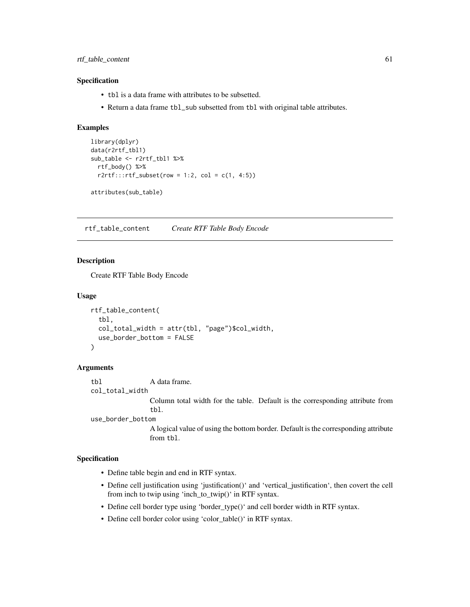<span id="page-60-0"></span>rtf\_table\_content 61

#### Specification

- tbl is a data frame with attributes to be subsetted.
- Return a data frame tbl\_sub subsetted from tbl with original table attributes.

#### Examples

```
library(dplyr)
data(r2rtf_tbl1)
sub_table <- r2rtf_tbl1 %>%
 rtf_body() %>%
 r2rtf::rtf\_subset(row = 1:2, col = c(1, 4:5))
```
attributes(sub\_table)

rtf\_table\_content *Create RTF Table Body Encode*

#### Description

Create RTF Table Body Encode

#### Usage

```
rtf_table_content(
  tbl,
  col_total_width = attr(tbl, "page")$col_width,
  use_border_bottom = FALSE
)
```
#### Arguments

tbl A data frame.

col\_total\_width

Column total width for the table. Default is the corresponding attribute from tbl.

use\_border\_bottom

A logical value of using the bottom border. Default is the corresponding attribute from tbl.

- Define table begin and end in RTF syntax.
- Define cell justification using 'justification()' and 'vertical\_justification', then covert the cell from inch to twip using 'inch\_to\_twip()' in RTF syntax.
- Define cell border type using 'border\_type()' and cell border width in RTF syntax.
- Define cell border color using 'color\_table()' in RTF syntax.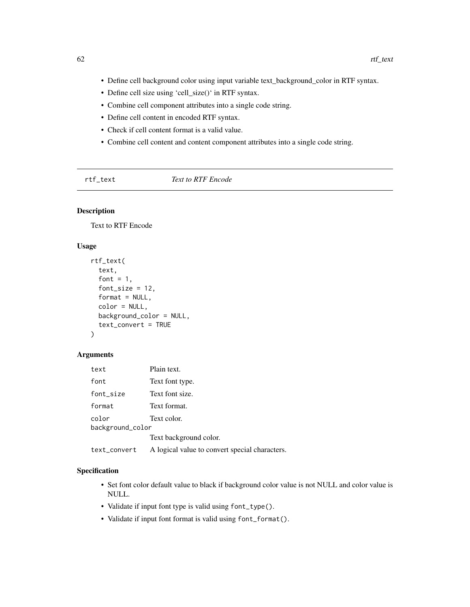- <span id="page-61-0"></span>• Define cell background color using input variable text\_background\_color in RTF syntax.
- Define cell size using 'cell\_size()' in RTF syntax.
- Combine cell component attributes into a single code string.
- Define cell content in encoded RTF syntax.
- Check if cell content format is a valid value.
- Combine cell content and content component attributes into a single code string.

rtf\_text *Text to RTF Encode*

### Description

Text to RTF Encode

#### Usage

```
rtf_text(
  text,
  font = 1,
  font_size = 12,
  format = NULL,color = NULL,
 background_color = NULL,
  text_convert = TRUE
\lambda
```
### Arguments

| text             | Plain text.                                    |
|------------------|------------------------------------------------|
| font             | Text font type.                                |
| font_size        | Text font size.                                |
| format           | Text format.                                   |
| color            | Text color.                                    |
| background_color |                                                |
|                  | Text background color.                         |
| text_convert     | A logical value to convert special characters. |

- Set font color default value to black if background color value is not NULL and color value is NULL.
- Validate if input font type is valid using font\_type().
- Validate if input font format is valid using font\_format().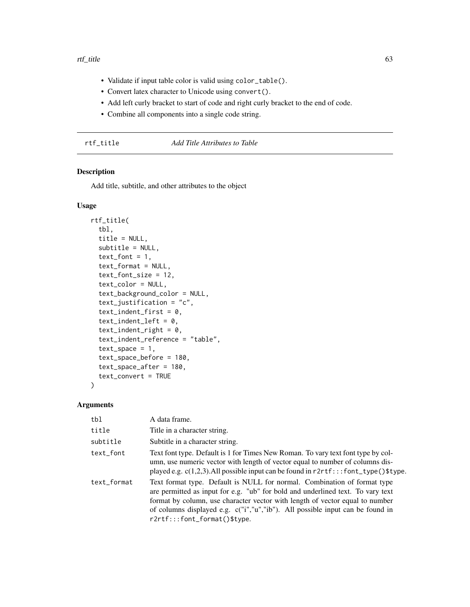#### <span id="page-62-0"></span>rtf\_title 63

- Validate if input table color is valid using color\_table().
- Convert latex character to Unicode using convert().
- Add left curly bracket to start of code and right curly bracket to the end of code.
- Combine all components into a single code string.

| title |  |
|-------|--|
|       |  |

### **Add Title Attributes to Table**

### Description

Add title, subtitle, and other attributes to the object

#### Usage

```
rtf_title(
  tbl,
  title = NULL,
  subtitle = NULL,
  text_font = 1,
  text_format = NULL,
  text_font_size = 12,
  text_color = NULL,
  text_background_color = NULL,
  text_justification = "c",
  text_indent_first = 0,
  text\_indent\_left = 0,
  text\_indent\_right = 0,
  text_indent_reference = "table",
  text\_space = 1,
  text_space_before = 180,
  text_space_after = 180,
  text_convert = TRUE
)
```

| tbl         | A data frame.                                                                                                                                                                                                                                                                                                                                                |
|-------------|--------------------------------------------------------------------------------------------------------------------------------------------------------------------------------------------------------------------------------------------------------------------------------------------------------------------------------------------------------------|
| title       | Title in a character string.                                                                                                                                                                                                                                                                                                                                 |
| subtitle    | Subtitle in a character string.                                                                                                                                                                                                                                                                                                                              |
| text_font   | Text font type. Default is 1 for Times New Roman. To vary text font type by col-<br>umn, use numeric vector with length of vector equal to number of columns dis-<br>played e.g. $c(1,2,3)$ . All possible input can be found in $r2rtf$ :: font_type()\$type.                                                                                               |
| text_format | Text format type. Default is NULL for normal. Combination of format type<br>are permitted as input for e.g. "ub" for bold and underlined text. To vary text<br>format by column, use character vector with length of vector equal to number<br>of columns displayed e.g. c("i","u","ib"). All possible input can be found in<br>r2rtf:::font_format()\$type. |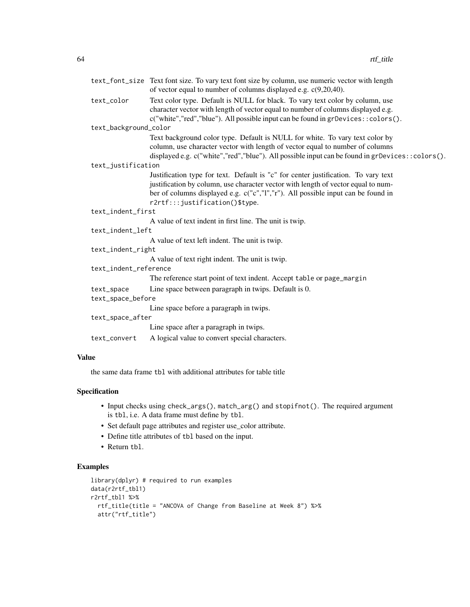|                       | text_font_size Text font size. To vary text font size by column, use numeric vector with length |
|-----------------------|-------------------------------------------------------------------------------------------------|
|                       | of vector equal to number of columns displayed e.g. $c(9,20,40)$ .                              |
| text_color            | Text color type. Default is NULL for black. To vary text color by column, use                   |
|                       | character vector with length of vector equal to number of columns displayed e.g.                |
|                       | c("white","red","blue"). All possible input can be found in grDevices::colors().                |
| text_background_color |                                                                                                 |
|                       | Text background color type. Default is NULL for white. To vary text color by                    |
|                       | column, use character vector with length of vector equal to number of columns                   |
|                       | displayed e.g. c("white","red","blue"). All possible input can be found in grDevices::colors(). |
| text_justification    |                                                                                                 |
|                       | Justification type for text. Default is "c" for center justification. To vary text              |
|                       | justification by column, use character vector with length of vector equal to num-               |
|                       | ber of columns displayed e.g. c("c","l","r"). All possible input can be found in                |
|                       | r2rtf:::justification()\$type.                                                                  |
| text_indent_first     |                                                                                                 |
|                       | A value of text indent in first line. The unit is twip.                                         |
| text_indent_left      |                                                                                                 |
|                       | A value of text left indent. The unit is twip.                                                  |
| text_indent_right     |                                                                                                 |
|                       | A value of text right indent. The unit is twip.                                                 |
| text_indent_reference |                                                                                                 |
|                       | The reference start point of text indent. Accept table or page_margin                           |
| text_space            | Line space between paragraph in twips. Default is 0.                                            |
| text_space_before     |                                                                                                 |
|                       | Line space before a paragraph in twips.                                                         |
| text_space_after      |                                                                                                 |
|                       | Line space after a paragraph in twips.                                                          |
| text_convert          | A logical value to convert special characters.                                                  |

### Value

the same data frame tbl with additional attributes for table title

### Specification

- Input checks using check\_args(), match\_arg() and stopifnot(). The required argument is tbl, i.e. A data frame must define by tbl.
- Set default page attributes and register use\_color attribute.
- Define title attributes of tbl based on the input.
- Return tbl.

### Examples

```
library(dplyr) # required to run examples
data(r2rtf_tbl1)
r2rtf_tbl1 %>%
  rtf_title(title = "ANCOVA of Change from Baseline at Week 8") %>%
  attr("rtf_title")
```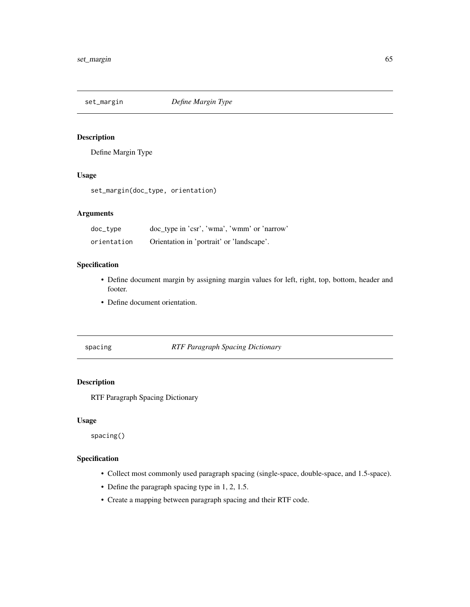<span id="page-64-0"></span>

Define Margin Type

### Usage

set\_margin(doc\_type, orientation)

### Arguments

| doc_type    | doc_type in 'csr', 'wma', 'wmm' or 'narrow' |
|-------------|---------------------------------------------|
| orientation | Orientation in 'portrait' or 'landscape'.   |

### Specification

- Define document margin by assigning margin values for left, right, top, bottom, header and footer.
- Define document orientation.

### spacing *RTF Paragraph Spacing Dictionary*

### Description

RTF Paragraph Spacing Dictionary

#### Usage

spacing()

- Collect most commonly used paragraph spacing (single-space, double-space, and 1.5-space).
- Define the paragraph spacing type in 1, 2, 1.5.
- Create a mapping between paragraph spacing and their RTF code.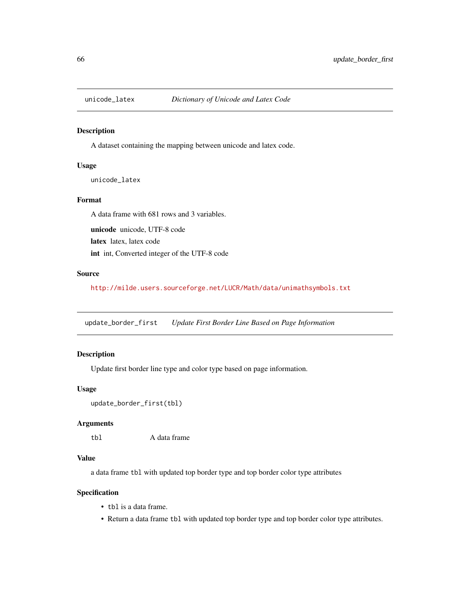<span id="page-65-0"></span>

A dataset containing the mapping between unicode and latex code.

#### Usage

unicode\_latex

### Format

A data frame with 681 rows and 3 variables.

unicode unicode, UTF-8 code latex latex, latex code int int, Converted integer of the UTF-8 code

#### Source

<http://milde.users.sourceforge.net/LUCR/Math/data/unimathsymbols.txt>

update\_border\_first *Update First Border Line Based on Page Information*

### Description

Update first border line type and color type based on page information.

#### Usage

```
update_border_first(tbl)
```
### Arguments

tbl A data frame

### Value

a data frame tbl with updated top border type and top border color type attributes

- tbl is a data frame.
- Return a data frame tbl with updated top border type and top border color type attributes.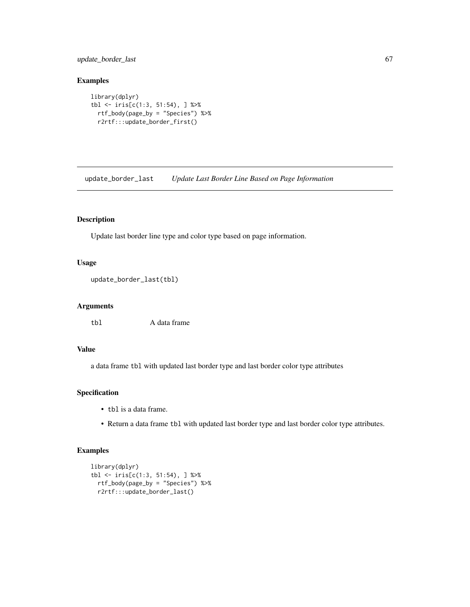### <span id="page-66-0"></span>update\_border\_last 67

### Examples

```
library(dplyr)
tbl <- iris[c(1:3, 51:54), ] %>%
  rtf_body(page_by = "Species") %>%
  r2rtf:::update_border_first()
```
update\_border\_last *Update Last Border Line Based on Page Information*

### Description

Update last border line type and color type based on page information.

### Usage

```
update_border_last(tbl)
```
### Arguments

tbl A data frame

### Value

a data frame tbl with updated last border type and last border color type attributes

### Specification

- tbl is a data frame.
- Return a data frame tbl with updated last border type and last border color type attributes.

### Examples

```
library(dplyr)
tbl <- iris[c(1:3, 51:54), ] %>%
  rtf_body(page_by = "Species") %>%
  r2rtf:::update_border_last()
```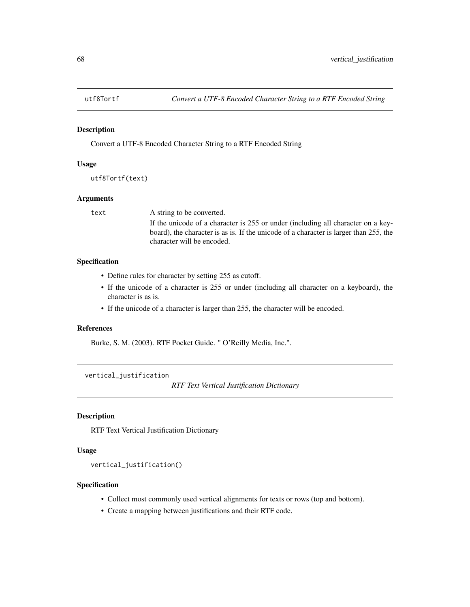<span id="page-67-0"></span>

Convert a UTF-8 Encoded Character String to a RTF Encoded String

#### Usage

```
utf8Tortf(text)
```
#### Arguments

text A string to be converted. If the unicode of a character is 255 or under (including all character on a keyboard), the character is as is. If the unicode of a character is larger than 255, the character will be encoded.

### Specification

- Define rules for character by setting 255 as cutoff.
- If the unicode of a character is 255 or under (including all character on a keyboard), the character is as is.
- If the unicode of a character is larger than 255, the character will be encoded.

### References

Burke, S. M. (2003). RTF Pocket Guide. " O'Reilly Media, Inc.".

vertical\_justification

*RTF Text Vertical Justification Dictionary*

#### Description

RTF Text Vertical Justification Dictionary

#### Usage

```
vertical_justification()
```
- Collect most commonly used vertical alignments for texts or rows (top and bottom).
- Create a mapping between justifications and their RTF code.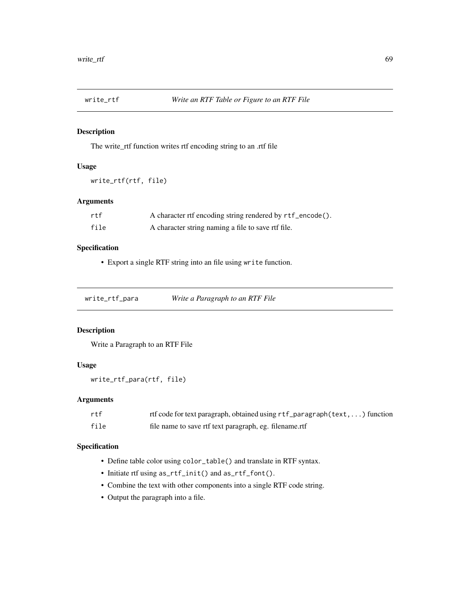<span id="page-68-0"></span>

The write\_rtf function writes rtf encoding string to an .rtf file

### Usage

```
write_rtf(rtf, file)
```
### Arguments

| rtf  | A character rtf encoding string rendered by rtf_encode(). |
|------|-----------------------------------------------------------|
| file | A character string naming a file to save rtf file.        |

### Specification

• Export a single RTF string into an file using write function.

| write_rtf_para | Write a Paragraph to an RTF File |
|----------------|----------------------------------|
|                |                                  |

#### Description

Write a Paragraph to an RTF File

### Usage

```
write_rtf_para(rtf, file)
```
### Arguments

| rtf  | rtf code for text paragraph, obtained using rtf_paragraph(text, ) function |
|------|----------------------------------------------------------------------------|
| file | file name to save rtf text paragraph, eg. filename.rtf                     |

- Define table color using color\_table() and translate in RTF syntax.
- Initiate rtf using as\_rtf\_init() and as\_rtf\_font().
- Combine the text with other components into a single RTF code string.
- Output the paragraph into a file.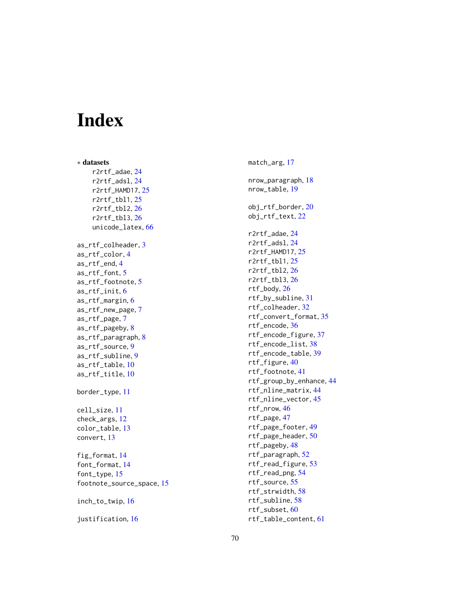# <span id="page-69-0"></span>Index

∗ datasets r2rtf\_adae , [24](#page-23-0) r2rtf\_adsl , [24](#page-23-0) r2rtf\_HAMD17 , [25](#page-24-0) r2rtf\_tbl1 , [25](#page-24-0) r2rtf\_tbl2 , [26](#page-25-0) r2rtf\_tbl3 , [26](#page-25-0) unicode\_latex , [66](#page-65-0) as\_rtf\_colheader , [3](#page-2-0) as\_rtf\_color , [4](#page-3-0) as\_rtf\_end , [4](#page-3-0) as\_rtf\_font , [5](#page-4-0) as\_rtf\_footnote , [5](#page-4-0) as\_rtf\_init , [6](#page-5-0) as\_rtf\_margin,[6](#page-5-0) as\_rtf\_new\_page , [7](#page-6-0) as\_rtf\_page , [7](#page-6-0) as\_rtf\_pageby , [8](#page-7-0) as\_rtf\_paragraph , [8](#page-7-0) as\_rtf\_source , [9](#page-8-0) as\_rtf\_subline , [9](#page-8-0) as\_rtf\_table , [10](#page-9-0) as\_rtf\_title , [10](#page-9-0) border\_type , [11](#page-10-0) cell\_size , [11](#page-10-0) check\_args , [12](#page-11-0) color\_table , [13](#page-12-0) convert , [13](#page-12-0) fig\_format , [14](#page-13-0) font\_format , [14](#page-13-0) font\_type, [15](#page-14-0) footnote\_source\_space , [15](#page-14-0) inch\_to\_twip , [16](#page-15-0) justification , [16](#page-15-0)

match\_arg , [17](#page-16-0) nrow\_paragraph , [18](#page-17-0) nrow\_table , [19](#page-18-0) obj\_rtf\_border , [20](#page-19-0) obj\_rtf\_text , [22](#page-21-0) r2rtf\_adae , [24](#page-23-0) r2rtf\_adsl , [24](#page-23-0) r2rtf\_HAMD17 , [25](#page-24-0) r2rtf\_tbl1 , [25](#page-24-0) r2rtf\_tbl2 , [26](#page-25-0) r2rtf\_tbl3 , [26](#page-25-0) rtf\_body , [26](#page-25-0) rtf\_by\_subline , [31](#page-30-0) rtf\_colheader , [32](#page-31-0) rtf\_convert\_format , [35](#page-34-0) rtf\_encode , [36](#page-35-0) rtf\_encode\_figure , [37](#page-36-0) rtf\_encode\_list , [38](#page-37-0) rtf\_encode\_table , [39](#page-38-0) rtf\_figure , [40](#page-39-0) rtf\_footnote , [41](#page-40-0) rtf\_group\_by\_enhance , [44](#page-43-0) rtf\_nline\_matrix , [44](#page-43-0) rtf\_nline\_vector , [45](#page-44-0) rtf\_nrow , [46](#page-45-0) rtf\_page , [47](#page-46-0) rtf\_page\_footer , [49](#page-48-0) rtf\_page\_header , [50](#page-49-0) rtf\_pageby , [48](#page-47-0) rtf\_paragraph , [52](#page-51-0) rtf\_read\_figure , [53](#page-52-0) rtf\_read\_png , [54](#page-53-0) rtf\_source , [55](#page-54-0) rtf\_strwidth , [58](#page-57-0) rtf\_subline , [58](#page-57-0) rtf\_subset , [60](#page-59-0) rtf\_table\_content , [61](#page-60-0)